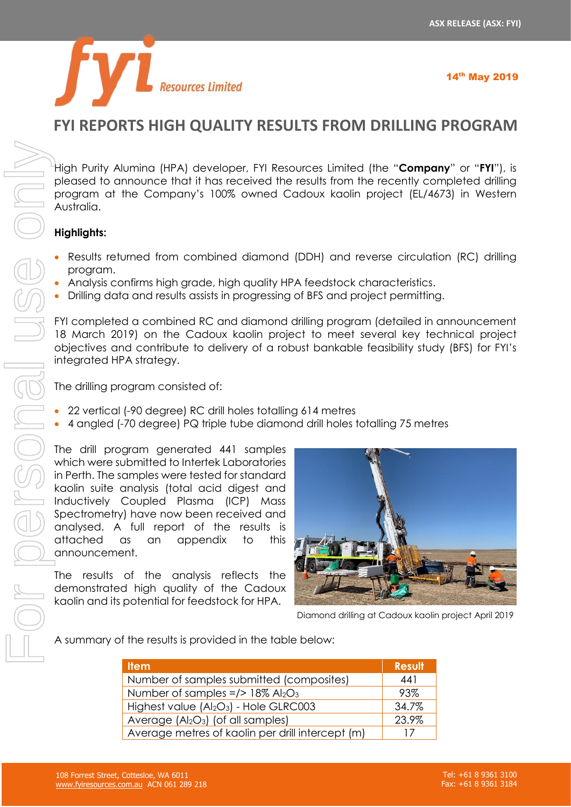

# **FYI REPORTS HIGH QUALITY RESULTS FROM DRILLING PROGRAM**

High Purity Alumina (HPA) developer, FYI Resources Limited (the "**Company**" or "**FYI**"), is pleased to announce that it has received the results from the recently completed drilling program at the Company's 100% owned Cadoux kaolin project (EL/4673) in Western Australia.

## **Highlights:**

- Results returned from combined diamond (DDH) and reverse circulation (RC) drilling program.
- Analysis confirms high grade, high quality HPA feedstock characteristics.
- Drilling data and results assists in progressing of BFS and project permitting.

FYI completed a combined RC and diamond drilling program (detailed in announcement 18 March 2019) on the Cadoux kaolin project to meet several key technical project objectives and contribute to delivery of a robust bankable feasibility study (BFS) for FYI's integrated HPA strategy.

The drilling program consisted of:

- 22 vertical (-90 degree) RC drill holes totalling 614 metres
- 4 angled (-70 degree) PQ triple tube diamond drill holes totalling 75 metres

The drill program generated 441 samples which were submitted to Intertek Laboratories in Perth. The samples were tested for standard kaolin suite analysis (total acid digest and Inductively Coupled Plasma (ICP) Mass Spectrometry) have now been received and analysed. A full report of the results is attached as an appendix to this announcement.

The results of the analysis reflects the demonstrated high quality of the Cadoux kaolin and its potential for feedstock for HPA.



Diamond drilling at Cadoux kaolin project April 2019

A summary of the results is provided in the table below:

| <b>Item</b>                                                    | <b>Result</b> |
|----------------------------------------------------------------|---------------|
| Number of samples submitted (composites)                       | 441           |
| Number of samples $=$ /> 18% Al <sub>2</sub> O <sub>3</sub>    | 93%           |
| Highest value (Al <sub>2</sub> O <sub>3</sub> ) - Hole GLRC003 | 34.7%         |
| Average $(AI2O3)$ (of all samples)                             | 23.9%         |
| Average metres of kaolin per drill intercept (m)               | 17            |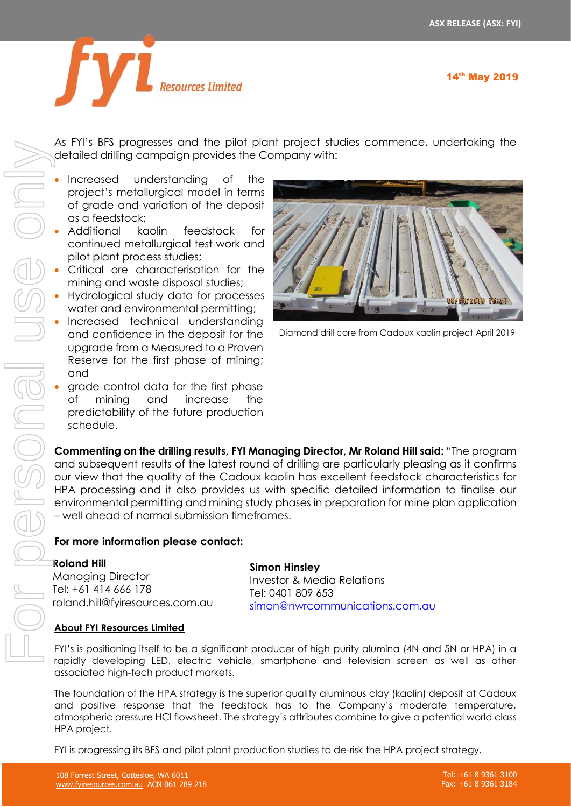

As FYI's BFS progresses and the pilot plant project studies commence, undertaking the detailed drilling campaign provides the Company with:

- Increased understanding of the project's metallurgical model in terms of grade and variation of the deposit as a feedstock;
- Additional kaolin feedstock for continued metallurgical test work and pilot plant process studies;
- Critical ore characterisation for the mining and waste disposal studies;
- Hydrological study data for processes water and environmental permitting;
- Increased technical understanding and confidence in the deposit for the upgrade from a Measured to a Proven Reserve for the first phase of mining; and
- grade control data for the first phase of mining and increase the predictability of the future production schedule.



Diamond drill core from Cadoux kaolin project April 2019

**Commenting on the drilling results, FYI Managing Director, Mr Roland Hill said:** "The program and subsequent results of the latest round of drilling are particularly pleasing as it confirms our view that the quality of the Cadoux kaolin has excellent feedstock characteristics for HPA processing and it also provides us with specific detailed information to finalise our environmental permitting and mining study phases in preparation for mine plan application – well ahead of normal submission timeframes.

# **For more information please contact:**

## **Roland Hill**

Managing Director Tel: +61 414 666 178 roland.hill@fyiresources.com.au **Simon Hinsley** Investor & Media Relations Tel: 0401 809 653

[simon@nwrcommunications.com.au](mailto:simon@nwrcommunications.com.au)

## **About FYI Resources Limited**

FYI's is positioning itself to be a significant producer of high purity alumina (4N and 5N or HPA) in a rapidly developing LED, electric vehicle, smartphone and television screen as well as other associated high-tech product markets.

The foundation of the HPA strategy is the superior quality aluminous clay (kaolin) deposit at Cadoux and positive response that the feedstock has to the Company's moderate temperature, atmospheric pressure HCl flowsheet. The strategy's attributes combine to give a potential world class HPA project.

FYI is progressing its BFS and pilot plant production studies to de-risk the HPA project strategy.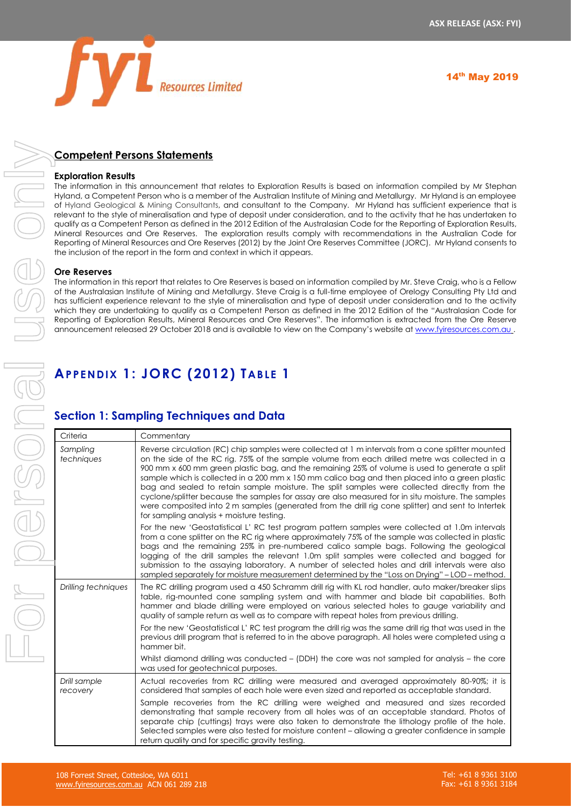

# **Competent Persons Statements**

#### **Exploration Results**

The information in this announcement that relates to Exploration Results is based on information compiled by Mr Stephan Hyland, a Competent Person who is a member of the Australian Institute of Mining and Metallurgy. Mr Hyland is an employee of Hyland Geological & Mining Consultants, and consultant to the Company. Mr Hyland has sufficient experience that is relevant to the style of mineralisation and type of deposit under consideration, and to the activity that he has undertaken to qualify as a Competent Person as defined in the 2012 Edition of the Australasian Code for the Reporting of Exploration Results, Mineral Resources and Ore Reserves. The exploration results comply with recommendations in the Australian Code for Reporting of Mineral Resources and Ore Reserves (2012) by the Joint Ore Reserves Committee (JORC). Mr Hyland consents to the inclusion of the report in the form and context in which it appears.

### **Ore Reserves**

The information in this report that relates to Ore Reserves is based on information compiled by Mr. Steve Craig, who is a Fellow of the Australasian Institute of Mining and Metallurgy. Steve Craig is a full-time employee of Orelogy Consulting Pty Ltd and has sufficient experience relevant to the style of mineralisation and type of deposit under consideration and to the activity which they are undertaking to qualify as a Competent Person as defined in the 2012 Edition of the "Australasian Code for Reporting of Exploration Results, Mineral Resources and Ore Reserves". The information is extracted from the Ore Reserve announcement released 29 October 2018 and is available to view on the Company's website at [www.fyiresources.com.au](http://www.fyiresources.com.au/) .

# **APPENDIX 1: JORC (2012) TABLE 1**

# **Section 1: Sampling Techniques and Data**

| Criteria                 | Commentary                                                                                                                                                                                                                                                                                                                                                                                                                                                                                                                                                                                                                                                                                                                                                        |
|--------------------------|-------------------------------------------------------------------------------------------------------------------------------------------------------------------------------------------------------------------------------------------------------------------------------------------------------------------------------------------------------------------------------------------------------------------------------------------------------------------------------------------------------------------------------------------------------------------------------------------------------------------------------------------------------------------------------------------------------------------------------------------------------------------|
| Sampling<br>techniques   | Reverse circulation (RC) chip samples were collected at 1 m intervals from a cone splitter mounted<br>on the side of the RC rig. 75% of the sample volume from each drilled metre was collected in a<br>900 mm x 600 mm green plastic bag, and the remaining 25% of volume is used to generate a split<br>sample which is collected in a 200 mm x 150 mm calico bag and then placed into a green plastic<br>bag and sealed to retain sample moisture. The split samples were collected directly from the<br>cyclone/splitter because the samples for assay are also measured for in situ moisture. The samples<br>were composited into 2 m samples (generated from the drill rig cone splitter) and sent to Intertek<br>for sampling analysis + moisture testing. |
|                          | For the new 'Geostatistical L' RC test program pattern samples were collected at 1.0m intervals<br>from a cone splitter on the RC rig where approximately 75% of the sample was collected in plastic<br>bags and the remaining 25% in pre-numbered calico sample bags. Following the geological<br>logging of the drill samples the relevant 1.0m split samples were collected and bagged for<br>submission to the assaying laboratory. A number of selected holes and drill intervals were also<br>sampled separately for moisture measurement determined by the "Loss on Drying" - LOD - method.                                                                                                                                                                |
| Drilling techniques      | The RC drilling program used a 450 Schramm drill rig with KL rod handler, auto maker/breaker slips<br>table, rig-mounted cone sampling system and with hammer and blade bit capabilities. Both<br>hammer and blade drilling were employed on various selected holes to gauge variability and<br>quality of sample return as well as to compare with repeat holes from previous drilling.<br>For the new 'Geostatistical L' RC test program the drill rig was the same drill rig that was used in the<br>previous drill program that is referred to in the above paragraph. All holes were completed using a<br>hammer bit.                                                                                                                                        |
|                          | Whilst diamond drilling was conducted – (DDH) the core was not sampled for analysis – the core<br>was used for geotechnical purposes.                                                                                                                                                                                                                                                                                                                                                                                                                                                                                                                                                                                                                             |
| Drill sample<br>recovery | Actual recoveries from RC drilling were measured and averaged approximately 80-90%; it is<br>considered that samples of each hole were even sized and reported as acceptable standard.                                                                                                                                                                                                                                                                                                                                                                                                                                                                                                                                                                            |
|                          | Sample recoveries from the RC drilling were weighed and measured and sizes recorded<br>demonstrating that sample recovery from all holes was of an acceptable standard. Photos of<br>separate chip (cuttings) trays were also taken to demonstrate the lithology profile of the hole.<br>Selected samples were also tested for moisture content – allowing a greater confidence in sample<br>return quality and for specific gravity testing.                                                                                                                                                                                                                                                                                                                     |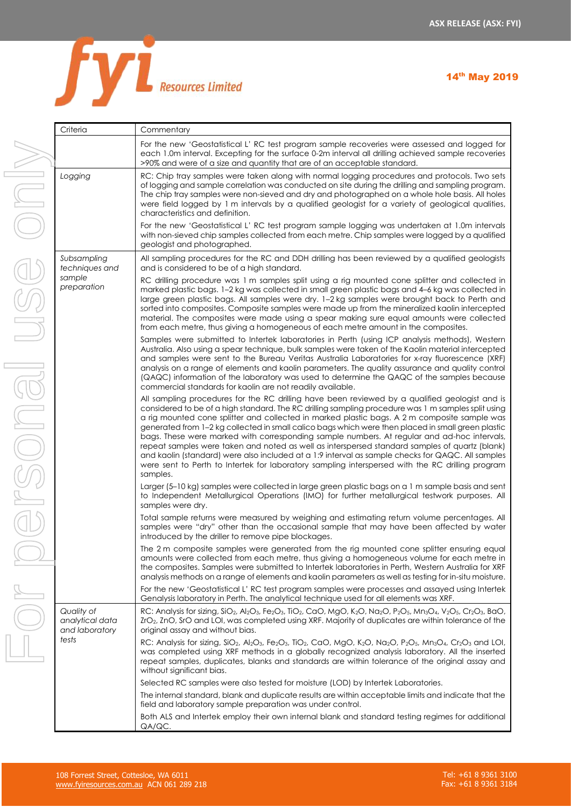

| Criteria                                                 |
|----------------------------------------------------------|
|                                                          |
| Logging                                                  |
| Subsampling<br>techniques and<br>sample<br>preparation   |
|                                                          |
|                                                          |
|                                                          |
|                                                          |
| Quality of<br>analytical data<br>and laboratory<br>tests |

| Criteria                                        | Commentary                                                                                                                                                                                                                                                                                                                                                                                                                                                                                                                                                                                                                                                                                                                                                                                                                        |
|-------------------------------------------------|-----------------------------------------------------------------------------------------------------------------------------------------------------------------------------------------------------------------------------------------------------------------------------------------------------------------------------------------------------------------------------------------------------------------------------------------------------------------------------------------------------------------------------------------------------------------------------------------------------------------------------------------------------------------------------------------------------------------------------------------------------------------------------------------------------------------------------------|
|                                                 | For the new 'Geostatistical L' RC test program sample recoveries were assessed and logged for<br>each 1.0m interval. Excepting for the surface 0-2m interval all drilling achieved sample recoveries<br>>90% and were of a size and quantity that are of an acceptable standard.                                                                                                                                                                                                                                                                                                                                                                                                                                                                                                                                                  |
| Logging                                         | RC: Chip tray samples were taken along with normal logging procedures and protocols. Two sets<br>of logging and sample correlation was conducted on site during the drilling and sampling program.<br>The chip tray samples were non-sieved and dry and photographed on a whole hole basis. All holes<br>were field logged by 1 m intervals by a qualified geologist for a variety of geological qualities,<br>characteristics and definition.                                                                                                                                                                                                                                                                                                                                                                                    |
|                                                 | For the new 'Geostatistical L' RC test program sample logging was undertaken at 1.0m intervals<br>with non-sieved chip samples collected from each metre. Chip samples were logged by a qualified<br>geologist and photographed.                                                                                                                                                                                                                                                                                                                                                                                                                                                                                                                                                                                                  |
| Subsampling<br>techniques and                   | All sampling procedures for the RC and DDH drilling has been reviewed by a qualified geologists<br>and is considered to be of a high standard.                                                                                                                                                                                                                                                                                                                                                                                                                                                                                                                                                                                                                                                                                    |
| sample<br>preparation                           | RC drilling procedure was 1 m samples split using a rig mounted cone splitter and collected in<br>marked plastic bags. 1-2 kg was collected in small green plastic bags and 4-6 kg was collected in<br>large green plastic bags. All samples were dry. 1-2 kg samples were brought back to Perth and<br>sorted into composites. Composite samples were made up from the mineralized kaolin intercepted<br>material. The composites were made using a spear making sure equal amounts were collected<br>from each metre, thus giving a homogeneous of each metre amount in the composites.                                                                                                                                                                                                                                         |
|                                                 | Samples were submitted to Intertek laboratories in Perth (using ICP analysis methods), Western<br>Australia. Also using a spear technique, bulk samples were taken of the Kaolin material intercepted<br>and samples were sent to the Bureau Veritas Australia Laboratories for x-ray fluorescence (XRF)<br>analysis on a range of elements and kaolin parameters. The quality assurance and quality control<br>(QAQC) information of the laboratory was used to determine the QAQC of the samples because<br>commercial standards for kaolin are not readily available.                                                                                                                                                                                                                                                          |
|                                                 | All sampling procedures for the RC drilling have been reviewed by a qualified geologist and is<br>considered to be of a high standard. The RC drilling sampling procedure was 1 m samples split using<br>a rig mounted cone splitter and collected in marked plastic bags. A 2 m composite sample was<br>generated from 1-2 kg collected in small calico bags which were then placed in small green plastic<br>bags. These were marked with corresponding sample numbers. At regular and ad-hoc intervals,<br>repeat samples were taken and noted as well as interspersed standard samples of quartz (blank)<br>and kaolin (standard) were also included at a 1:9 interval as sample checks for QAQC. All samples<br>were sent to Perth to Intertek for laboratory sampling interspersed with the RC drilling program<br>samples. |
|                                                 | Larger (5-10 kg) samples were collected in large green plastic bags on a 1 m sample basis and sent<br>to Independent Metallurgical Operations (IMO) for further metallurgical testwork purposes. All<br>samples were dry.                                                                                                                                                                                                                                                                                                                                                                                                                                                                                                                                                                                                         |
|                                                 | Total sample returns were measured by weighing and estimating return volume percentages. All<br>samples were "dry" other than the occasional sample that may have been affected by water<br>introduced by the driller to remove pipe blockages.                                                                                                                                                                                                                                                                                                                                                                                                                                                                                                                                                                                   |
|                                                 | The 2 m composite samples were generated from the rig mounted cone splitter ensuring equal<br>amounts were collected from each metre, thus giving a homogeneous volume for each metre in<br>the composites. Samples were submitted to Intertek laboratories in Perth, Western Australia for XRF<br>analysis methods on a range of elements and kaolin parameters as well as testing for in-situ moisture.                                                                                                                                                                                                                                                                                                                                                                                                                         |
|                                                 | For the new 'Geostatistical L' RC test program samples were processes and assayed using Intertek<br>Genalysis laboratory in Perth. The analytical technique used for all elements was XRF.                                                                                                                                                                                                                                                                                                                                                                                                                                                                                                                                                                                                                                        |
| Quality of<br>analytical data<br>and laboratory | RC: Analysis for sizing, SiO <sub>2</sub> , Al <sub>2</sub> O <sub>3</sub> , Fe <sub>2</sub> O <sub>3</sub> , TiO <sub>2</sub> , CaO, MgO, K <sub>2</sub> O, Na <sub>2</sub> O, P <sub>2</sub> O <sub>5</sub> , Mn <sub>3</sub> O <sub>4</sub> , V <sub>2</sub> O <sub>5</sub> , Cr <sub>2</sub> O <sub>3</sub> , BaO,<br>ZrO <sub>2</sub> , ZnO, SrO and LOI, was completed using XRF. Majority of duplicates are within tolerance of the<br>original assay and without bias.                                                                                                                                                                                                                                                                                                                                                    |
| tests                                           | RC: Analysis for sizing, SiO <sub>2</sub> , Al <sub>2</sub> O <sub>3</sub> , Fe <sub>2</sub> O <sub>3</sub> , TiO <sub>2</sub> , CaO, MgO, K <sub>2</sub> O, Na <sub>2</sub> O, P <sub>2</sub> O <sub>5</sub> , Mn <sub>3</sub> O <sub>4</sub> , Cr <sub>2</sub> O <sub>3</sub> and LOI,<br>was completed using XRF methods in a globally recognized analysis laboratory. All the inserted<br>repeat samples, duplicates, blanks and standards are within tolerance of the original assay and<br>without significant bias.                                                                                                                                                                                                                                                                                                        |
|                                                 | Selected RC samples were also tested for moisture (LOD) by Intertek Laboratories.                                                                                                                                                                                                                                                                                                                                                                                                                                                                                                                                                                                                                                                                                                                                                 |
|                                                 | The internal standard, blank and duplicate results are within acceptable limits and indicate that the<br>field and laboratory sample preparation was under control.                                                                                                                                                                                                                                                                                                                                                                                                                                                                                                                                                                                                                                                               |
|                                                 | Both ALS and Intertek employ their own internal blank and standard testing regimes for additional<br>QA/QC.                                                                                                                                                                                                                                                                                                                                                                                                                                                                                                                                                                                                                                                                                                                       |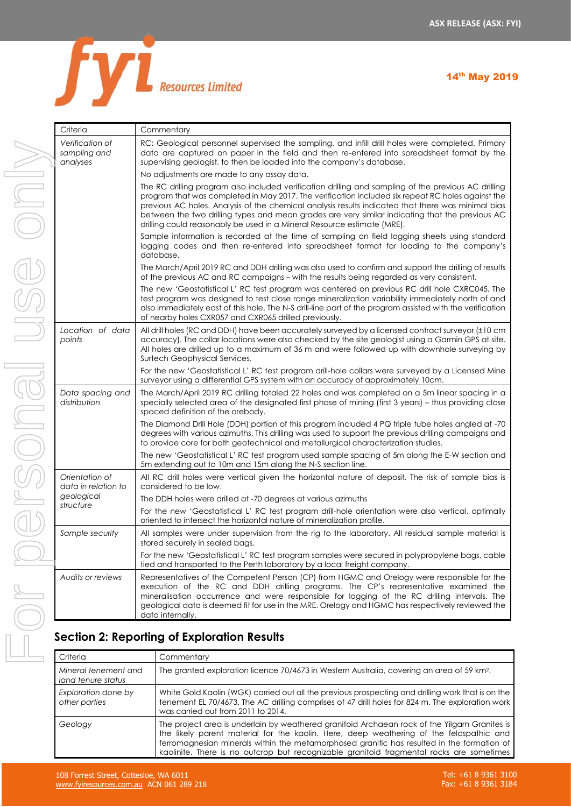

| Criteria                                                         |                                                                                                          | Commentary                                                                                                                                                                                          |  |
|------------------------------------------------------------------|----------------------------------------------------------------------------------------------------------|-----------------------------------------------------------------------------------------------------------------------------------------------------------------------------------------------------|--|
| Verification of<br>sampling and<br>analyses                      |                                                                                                          | RC: Geologic<br>data are cap<br>supervising ge<br>No adjustmen<br>The RC drilling<br>program that<br>previous AC h<br>between the<br>drilling could r<br>Sample inforn<br>logging code<br>database. |  |
|                                                                  |                                                                                                          | The March/Ap<br>of the previou                                                                                                                                                                      |  |
|                                                                  |                                                                                                          | The new 'Geo<br>test program<br>also immediat<br>of nearby hole                                                                                                                                     |  |
| Location of data<br>points                                       |                                                                                                          | All drill holes (R<br>accuracy). Th<br>All holes are a<br>Surtech Geop<br>For the new '<br>surveyor using                                                                                           |  |
| Data spacing and<br>distribution                                 |                                                                                                          | The March/Ap<br>specially seled<br>spaced defini<br>The Diamond<br>degrees with<br>to provide cor                                                                                                   |  |
|                                                                  |                                                                                                          | The new 'Gec<br>5m extending                                                                                                                                                                        |  |
| Orientation of<br>data in relation to<br>geological<br>structure |                                                                                                          | All RC drill hc<br>considered to<br>The DDH hole:<br>For the new '<br>oriented to int                                                                                                               |  |
| Sample security                                                  |                                                                                                          | All samples w<br>stored securel<br>For the new 'O                                                                                                                                                   |  |
| Audits or reviews                                                | tied and trans<br>Representativ<br>execution<br>Οf<br>mineralisation<br>geological dc<br>data internally |                                                                                                                                                                                                     |  |
| Section 2: Reporting of Ex                                       |                                                                                                          |                                                                                                                                                                                                     |  |
| Criteria                                                         |                                                                                                          | Commer                                                                                                                                                                                              |  |
| Mineral tenement and                                             | The gran                                                                                                 |                                                                                                                                                                                                     |  |

| Verification of<br>sampling and<br>analyses | RC: Geological personnel supervised the sampling, and infill drill holes were completed. Primary<br>data are captured on paper in the field and then re-entered into spreadsheet format by the<br>supervising geologist, to then be loaded into the company's database.                                                                                                                                                                                                                       |  |  |  |  |  |
|---------------------------------------------|-----------------------------------------------------------------------------------------------------------------------------------------------------------------------------------------------------------------------------------------------------------------------------------------------------------------------------------------------------------------------------------------------------------------------------------------------------------------------------------------------|--|--|--|--|--|
|                                             | No adjustments are made to any assay data.                                                                                                                                                                                                                                                                                                                                                                                                                                                    |  |  |  |  |  |
|                                             | The RC drilling program also included verification drilling and sampling of the previous AC drilling<br>program that was completed in May 2017. The verification included six repeat RC holes against the<br>previous AC holes. Analysis of the chemical analysis results indicated that there was minimal bias<br>between the two drilling types and mean grades are very similar indicating that the previous AC<br>drilling could reasonably be used in a Mineral Resource estimate (MRE). |  |  |  |  |  |
|                                             | Sample information is recorded at the time of sampling on field logging sheets using standard<br>logging codes and then re-entered into spreadsheet format for loading to the company's<br>database.                                                                                                                                                                                                                                                                                          |  |  |  |  |  |
|                                             | The March/April 2019 RC and DDH drilling was also used to confirm and support the drilling of results<br>of the previous AC and RC campaigns – with the results being regarded as very consistent.                                                                                                                                                                                                                                                                                            |  |  |  |  |  |
|                                             | The new 'Geostatistical L' RC test program was centered on previous RC drill hole CXRC045. The<br>test program was designed to test close range mineralization variability immediately north of and<br>also immediately east of this hole. The N-S drill-line part of the program assisted with the verification<br>of nearby holes CXR057 and CXR065 drilled previously.                                                                                                                     |  |  |  |  |  |
| Location of data<br>points                  | All drill holes (RC and DDH) have been accurately surveyed by a licensed contract surveyor (±10 cm<br>accuracy). The collar locations were also checked by the site geologist using a Garmin GPS at site.<br>All holes are drilled up to a maximum of 36 m and were followed up with downhole surveying by<br>Surtech Geophysical Services.                                                                                                                                                   |  |  |  |  |  |
|                                             | For the new 'Geostatistical L' RC test program drill-hole collars were surveyed by a Licensed Mine<br>surveyor using a differential GPS system with an accuracy of approximately 10cm.                                                                                                                                                                                                                                                                                                        |  |  |  |  |  |
| Data spacing and<br>distribution            | The March/April 2019 RC drilling totaled 22 holes and was completed on a 5m linear spacing in a<br>specially selected area of the designated first phase of mining (first 3 years) – thus providing close<br>spaced definition of the orebody.                                                                                                                                                                                                                                                |  |  |  |  |  |
|                                             | The Diamond Drill Hole (DDH) portion of this program included 4 PQ triple tube holes angled at -70<br>degrees with various azimuths. This drilling was used to support the previous drilling campaigns and<br>to provide core for both geotechnical and metallurgical characterization studies.                                                                                                                                                                                               |  |  |  |  |  |
|                                             | The new 'Geostatistical L' RC test program used sample spacing of 5m along the E-W section and<br>5m extending out to 10m and 15m along the N-S section line.                                                                                                                                                                                                                                                                                                                                 |  |  |  |  |  |
| Orientation of<br>data in relation to       | All RC drill holes were vertical given the horizontal nature of deposit. The risk of sample bias is<br>considered to be low.                                                                                                                                                                                                                                                                                                                                                                  |  |  |  |  |  |
| geological                                  | The DDH holes were drilled at -70 degrees at various azimuths                                                                                                                                                                                                                                                                                                                                                                                                                                 |  |  |  |  |  |
| structure                                   | For the new 'Geostatistical L' RC test program drill-hole orientation were also vertical, optimally<br>oriented to intersect the horizontal nature of mineralization profile.                                                                                                                                                                                                                                                                                                                 |  |  |  |  |  |
| Sample security                             | All samples were under supervision from the rig to the laboratory. All residual sample material is<br>stored securely in sealed bags.                                                                                                                                                                                                                                                                                                                                                         |  |  |  |  |  |
|                                             | For the new 'Geostatistical L' RC test program samples were secured in polypropylene bags, cable<br>tied and transported to the Perth laboratory by a local freight company.                                                                                                                                                                                                                                                                                                                  |  |  |  |  |  |
| Audits or reviews                           | Representatives of the Competent Person (CP) from HGMC and Orelogy were responsible for the<br>execution of the RC and DDH drilling programs. The CP's representative examined the<br>mineralisation occurrence and were responsible for logging of the RC drilling intervals. The<br>geological data is deemed fit for use in the MRE. Orelogy and HGMC has respectively reviewed the<br>data internally.                                                                                    |  |  |  |  |  |

# **Section 2: Reporting of Exploration Results**

| Criteria                                   | Commentary                                                                                                                                                                                                                                                                                                                                                                         |
|--------------------------------------------|------------------------------------------------------------------------------------------------------------------------------------------------------------------------------------------------------------------------------------------------------------------------------------------------------------------------------------------------------------------------------------|
| Mineral tenement and<br>land tenure status | The granted exploration licence 70/4673 in Western Australia, covering an area of 59 km <sup>2</sup> .                                                                                                                                                                                                                                                                             |
| Exploration done by<br>other parties       | White Gold Kaolin (WGK) carried out all the previous prospecting and drilling work that is on the<br>tenement EL 70/4673. The AC drilling comprises of 47 drill holes for 824 m. The exploration work<br>was carried out from 2011 to 2014.                                                                                                                                        |
| Geology                                    | The project area is underlain by weathered granitoid Archaean rock of the Yilgarn Granites is<br>the likely parent material for the kaolin. Here, deep weathering of the feldspathic and<br>ferromagnesian minerals within the metamorphosed granitic has resulted in the formation of<br>kaolinite. There is no outcrop but recognizable granitoid fragmental rocks are sometimes |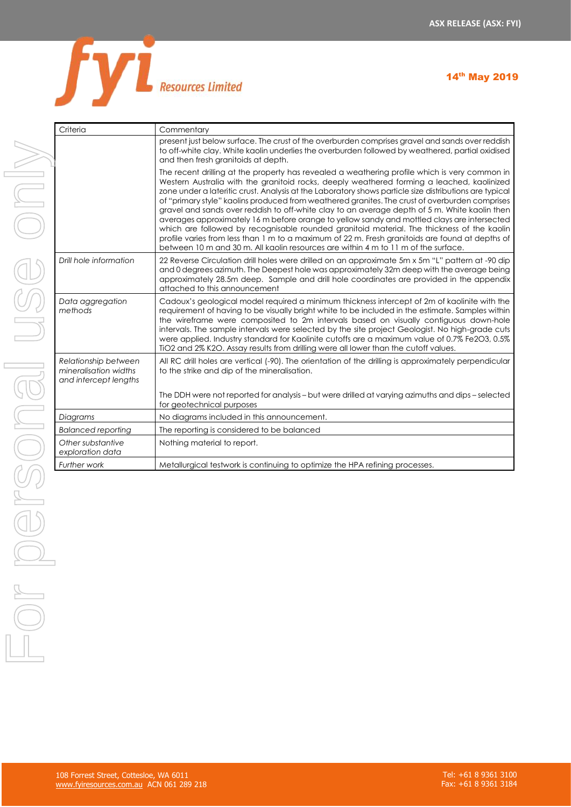

| Criteria                                                               | Commentary                                                                                                                                                                                                                                                                                                                                                                                                                                                                                                                                                                                                                                                                                                                                                                                                                                                                                     |
|------------------------------------------------------------------------|------------------------------------------------------------------------------------------------------------------------------------------------------------------------------------------------------------------------------------------------------------------------------------------------------------------------------------------------------------------------------------------------------------------------------------------------------------------------------------------------------------------------------------------------------------------------------------------------------------------------------------------------------------------------------------------------------------------------------------------------------------------------------------------------------------------------------------------------------------------------------------------------|
|                                                                        | present just below surface. The crust of the overburden comprises gravel and sands over reddish<br>to off-white clay. White kaolin underlies the overburden followed by weathered, partial oxidised<br>and then fresh granitoids at depth.                                                                                                                                                                                                                                                                                                                                                                                                                                                                                                                                                                                                                                                     |
|                                                                        | The recent drilling at the property has revealed a weathering profile which is very common in<br>Western Australia with the granitoid rocks, deeply weathered forming a leached, kaolinized<br>zone under a lateritic crust. Analysis at the Laboratory shows particle size distributions are typical<br>of "primary style" kaolins produced from weathered granites. The crust of overburden comprises<br>gravel and sands over reddish to off-white clay to an average depth of 5 m. White kaolin then<br>averages approximately 16 m before orange to yellow sandy and mottled clays are intersected<br>which are followed by recognisable rounded granitoid material. The thickness of the kaolin<br>profile varies from less than 1 m to a maximum of 22 m. Fresh granitoids are found at depths of<br>between 10 m and 30 m. All kaolin resources are within 4 m to 11 m of the surface. |
| Drill hole information                                                 | 22 Reverse Circulation drill holes were drilled on an approximate 5m x 5m "L" pattern at -90 dip<br>and 0 degrees azimuth. The Deepest hole was approximately 32m deep with the average being<br>approximately 28.5m deep. Sample and drill hole coordinates are provided in the appendix<br>attached to this announcement                                                                                                                                                                                                                                                                                                                                                                                                                                                                                                                                                                     |
| Data aggregation<br>methods                                            | Cadoux's geological model required a minimum thickness intercept of 2m of kaolinite with the<br>requirement of having to be visually bright white to be included in the estimate. Samples within<br>the wireframe were composited to 2m intervals based on visually contiguous down-hole<br>intervals. The sample intervals were selected by the site project Geologist. No high-grade cuts<br>were applied. Industry standard for Kaolinite cutoffs are a maximum value of 0.7% Fe2O3, 0.5%<br>TiO2 and 2% K2O. Assay results from drilling were all lower than the cutoff values.                                                                                                                                                                                                                                                                                                            |
| Relationship between<br>mineralisation widths<br>and intercept lengths | All RC drill holes are vertical (-90). The orientation of the drilling is approximately perpendicular<br>to the strike and dip of the mineralisation.                                                                                                                                                                                                                                                                                                                                                                                                                                                                                                                                                                                                                                                                                                                                          |
|                                                                        | The DDH were not reported for analysis - but were drilled at varying azimuths and dips - selected<br>for geotechnical purposes                                                                                                                                                                                                                                                                                                                                                                                                                                                                                                                                                                                                                                                                                                                                                                 |
| Diagrams                                                               | No diagrams included in this announcement.                                                                                                                                                                                                                                                                                                                                                                                                                                                                                                                                                                                                                                                                                                                                                                                                                                                     |
| <b>Balanced reporting</b>                                              | The reporting is considered to be balanced                                                                                                                                                                                                                                                                                                                                                                                                                                                                                                                                                                                                                                                                                                                                                                                                                                                     |
| Other substantive<br>exploration data                                  | Nothing material to report.                                                                                                                                                                                                                                                                                                                                                                                                                                                                                                                                                                                                                                                                                                                                                                                                                                                                    |
| Further work                                                           | Metallurgical testwork is continuing to optimize the HPA refining processes.                                                                                                                                                                                                                                                                                                                                                                                                                                                                                                                                                                                                                                                                                                                                                                                                                   |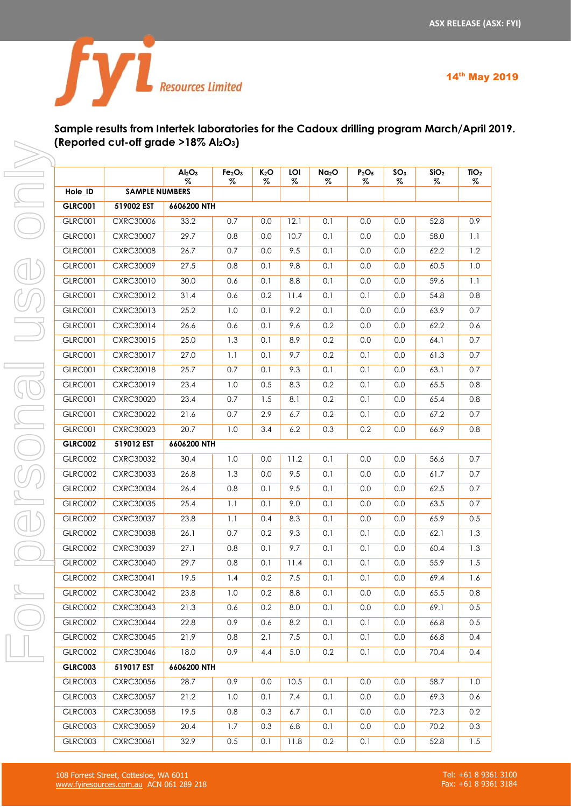

# **Sample results from Intertek laboratories for the Cadoux drilling program March/April 2019. (Reported cut-off grade >18% Al2O3)**

|                |                       | Al <sub>2</sub> O <sub>3</sub><br>$\%$ | Fe <sub>2</sub> O <sub>3</sub><br>% | $K_2O$<br>% | LOI<br>% | Na <sub>2</sub> O<br>% | P <sub>2</sub> O <sub>5</sub><br>% | SO <sub>3</sub><br>% | SiO <sub>2</sub><br>% | TiO <sub>2</sub><br>% |
|----------------|-----------------------|----------------------------------------|-------------------------------------|-------------|----------|------------------------|------------------------------------|----------------------|-----------------------|-----------------------|
| Hole_ID        | <b>SAMPLE NUMBERS</b> |                                        |                                     |             |          |                        |                                    |                      |                       |                       |
| <b>GLRC001</b> | 519002 EST            | 6606200 NTH                            |                                     |             |          |                        |                                    |                      |                       |                       |
| <b>GLRC001</b> | <b>CXRC30006</b>      | 33.2                                   | 0.7                                 | 0.0         | 12.1     | 0.1                    | 0.0                                | 0.0                  | 52.8                  | 0.9                   |
| <b>GLRC001</b> | <b>CXRC30007</b>      | 29.7                                   | 0.8                                 | 0.0         | 10.7     | 0.1                    | 0.0                                | 0.0                  | 58.0                  | 1.1                   |
| <b>GLRC001</b> | <b>CXRC30008</b>      | 26.7                                   | 0.7                                 | 0.0         | 9.5      | 0.1                    | 0.0                                | 0.0                  | 62.2                  | 1.2                   |
| <b>GLRC001</b> | <b>CXRC30009</b>      | 27.5                                   | 0.8                                 | 0.1         | 9.8      | 0.1                    | 0.0                                | 0.0                  | 60.5                  | 1.0                   |
| <b>GLRC001</b> | CXRC30010             | 30.0                                   | 0.6                                 | 0.1         | 8.8      | 0.1                    | 0.0                                | 0.0                  | 59.6                  | 1.1                   |
| <b>GLRC001</b> | CXRC30012             | 31.4                                   | 0.6                                 | 0.2         | 11.4     | 0.1                    | 0.1                                | 0.0                  | 54.8                  | 0.8                   |
| <b>GLRC001</b> | CXRC30013             | 25.2                                   | 1.0                                 | 0.1         | 9.2      | 0.1                    | 0.0                                | 0.0                  | 63.9                  | 0.7                   |
| <b>GLRC001</b> | CXRC30014             | 26.6                                   | 0.6                                 | 0.1         | 9.6      | 0.2                    | 0.0                                | 0.0                  | 62.2                  | 0.6                   |
| <b>GLRC001</b> | CXRC30015             | 25.0                                   | 1.3                                 | 0.1         | 8.9      | 0.2                    | 0.0                                | 0.0                  | 64.1                  | 0.7                   |
| <b>GLRC001</b> | <b>CXRC30017</b>      | 27.0                                   | 1.1                                 | 0.1         | 9.7      | 0.2                    | 0.1                                | 0.0                  | 61.3                  | 0.7                   |
| <b>GLRC001</b> | CXRC30018             | 25.7                                   | 0.7                                 | 0.1         | 9.3      | 0.1                    | 0.1                                | 0.0                  | 63.1                  | 0.7                   |
| <b>GLRC001</b> | <b>CXRC30019</b>      | 23.4                                   | 1.0                                 | 0.5         | 8.3      | 0.2                    | 0.1                                | 0.0                  | 65.5                  | 0.8                   |
| <b>GLRC001</b> | <b>CXRC30020</b>      | 23.4                                   | 0.7                                 | 1.5         | 8.1      | 0.2                    | 0.1                                | 0.0                  | 65.4                  | 0.8                   |
| <b>GLRC001</b> | <b>CXRC30022</b>      | 21.6                                   | 0.7                                 | 2.9         | 6.7      | 0.2                    | 0.1                                | 0.0                  | 67.2                  | 0.7                   |
| <b>GLRC001</b> | <b>CXRC30023</b>      | 20.7                                   | 1.0                                 | 3.4         | 6.2      | 0.3                    | 0.2                                | 0.0                  | 66.9                  | 0.8                   |
| <b>GLRC002</b> | 519012 EST            | 6606200 NTH                            |                                     |             |          |                        |                                    |                      |                       |                       |
| GLRC002        | <b>CXRC30032</b>      | 30.4                                   | 1.0                                 | 0.0         | 11.2     | 0.1                    | 0.0                                | 0.0                  | 56.6                  | 0.7                   |
| GLRC002        | CXRC30033             | 26.8                                   | 1.3                                 | 0.0         | 9.5      | 0.1                    | 0.0                                | 0.0                  | 61.7                  | 0.7                   |
| GLRC002        | CXRC30034             | 26.4                                   | 0.8                                 | 0.1         | 9.5      | 0.1                    | 0.0                                | 0.0                  | 62.5                  | 0.7                   |
| GLRC002        | CXRC30035             | 25.4                                   | 1.1                                 | 0.1         | 9.0      | 0.1                    | 0.0                                | 0.0                  | 63.5                  | 0.7                   |
| GLRC002        | CXRC30037             | 23.8                                   | 1.1                                 | 0.4         | 8.3      | 0.1                    | 0.0                                | 0.0                  | 65.9                  | 0.5                   |
| GLRC002        | <b>CXRC30038</b>      | 26.1                                   | 0.7                                 | 0.2         | 9.3      | 0.1                    | 0.1                                | 0.0                  | 62.1                  | 1.3                   |
| <b>GLRC002</b> | <b>CXRC30039</b>      | 27.1                                   | 0.8                                 | 0.1         | 9.7      | 0.1                    | 0.1                                | 0.0                  | 60.4                  | 1.3                   |
| GLRC002        | <b>CXRC30040</b>      | 29.7                                   | 0.8                                 | 0.1         | 11.4     | 0.1                    | 0.1                                | 0.0                  | 55.9                  | 1.5                   |
| <b>GLRC002</b> | CXRC30041             | 19.5                                   | 1.4                                 | 0.2         | 7.5      | 0.1                    | 0.1                                | 0.0                  | 69.4                  | 1.6                   |
| GLRC002        | <b>CXRC30042</b>      | 23.8                                   | 1.0                                 | 0.2         | $8.8\,$  | 0.1                    | 0.0                                | $0.0\,$              | 65.5                  | 0.8                   |
| GLRC002        | <b>CXRC30043</b>      | 21.3                                   | 0.6                                 | 0.2         | 8.0      | 0.1                    | $0.0\,$                            | $0.0\,$              | 69.1                  | 0.5                   |
| GLRC002        | <b>CXRC30044</b>      | 22.8                                   | 0.9                                 | 0.6         | 8.2      | 0.1                    | 0.1                                | 0.0                  | 66.8                  | 0.5                   |
| GLRC002        | <b>CXRC30045</b>      | 21.9                                   | 0.8                                 | 2.1         | 7.5      | 0.1                    | 0.1                                | 0.0                  | 66.8                  | 0.4                   |
| <b>GLRC002</b> | <b>CXRC30046</b>      | 18.0                                   | 0.9                                 | 4.4         | 5.0      | 0.2                    | 0.1                                | 0.0                  | 70.4                  | 0.4                   |
| <b>GLRC003</b> | 519017 EST            | 6606200 NTH                            |                                     |             |          |                        |                                    |                      |                       |                       |
| GLRC003        | <b>CXRC30056</b>      | 28.7                                   | 0.9                                 | 0.0         | 10.5     | 0.1                    | $0.0\,$                            | 0.0                  | 58.7                  | 1.0                   |
| GLRC003        | <b>CXRC30057</b>      | 21.2                                   | 1.0                                 | 0.1         | 7.4      | 0.1                    | 0.0                                | 0.0                  | 69.3                  | 0.6                   |
| GLRC003        | <b>CXRC30058</b>      | 19.5                                   | 0.8                                 | 0.3         | 6.7      | 0.1                    | 0.0                                | 0.0                  | 72.3                  | 0.2                   |
| GLRC003        | <b>CXRC30059</b>      | 20.4                                   | 1.7                                 | 0.3         | 6.8      | 0.1                    | 0.0                                | 0.0                  | 70.2                  | 0.3                   |
| GLRC003        | CXRC30061             | 32.9                                   | 0.5                                 | 0.1         | 11.8     | 0.2                    | 0.1                                | 0.0                  | 52.8                  | 1.5                   |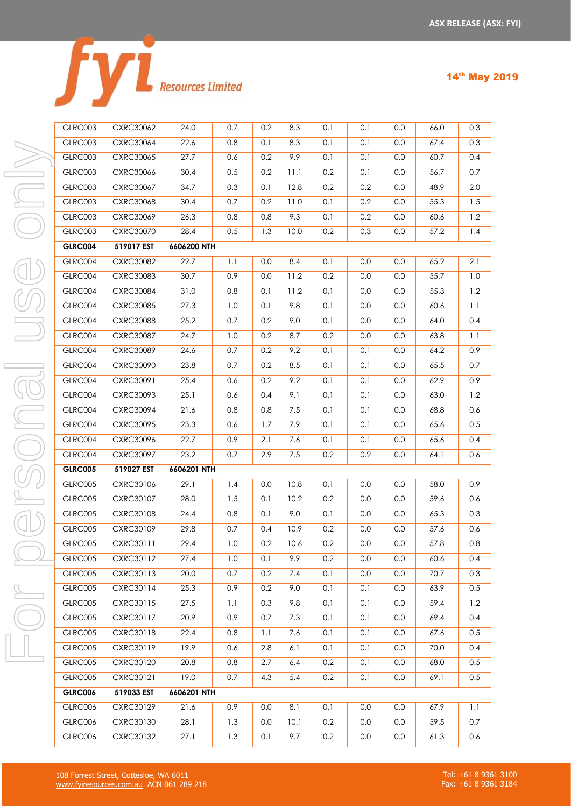|  | <b>Resources Limited</b> |
|--|--------------------------|

| GLRC003 | <b>CXRC30062</b> | 24.0 | 0.7 | 0.2 | 8.3 | 0.1 | 0.1 | 0.0 | 66.0 | 0.3 |
|---------|------------------|------|-----|-----|-----|-----|-----|-----|------|-----|
| GLRC003 | <b>CXRC30064</b> | 22.6 | 0.8 | 0.1 | 8.3 | 0.1 | 0.1 | 0.0 | 67.4 | 0.3 |
| GLRC003 | CXRC30065        | 27.7 | 0.6 | 0.2 | 9.9 | 0.1 | 0.1 | 0.0 | 60.7 | 0.4 |
| GLRC003 | <b>CXRC30066</b> | 30.4 | 0.5 | 0.2 | 1.1 | 0.2 | 0.1 | 0.0 | 56.7 | 0.7 |

GLRC005 CXRC30121 19.0 0.7 4.3 5.4 0.2 0.1 0.0 69.1 0.5

GLRC006 CXRC30129 21.6 0.9 0.0 8.1 0.1 0.0 0.0 67.9 1.1 GLRC006 CXRC30130 28.1 1.3 0.0 10.1 0.2 0.0 0.0 59.5 0.7 GLRC006 CXRC30132 27.1 1.3 0.1 9.7 0.2 0.0 0.0 61.3 0.6

|  | <b>ULKUUU</b> J | <b>UARCJUU64</b> | ZZ.O        | U.Ö | V.I | <u>გ.ა</u> | V.I | U.I | U.U     | 0/0.4 | U.J     |
|--|-----------------|------------------|-------------|-----|-----|------------|-----|-----|---------|-------|---------|
|  | GLRC003         | <b>CXRC30065</b> | 27.7        | 0.6 | 0.2 | 9.9        | 0.1 | 0.1 | 0.0     | 60.7  | 0.4     |
|  | GLRC003         | CXRC30066        | 30.4        | 0.5 | 0.2 | 11.1       | 0.2 | 0.1 | 0.0     | 56.7  | 0.7     |
|  | GLRC003         | <b>CXRC30067</b> | 34.7        | 0.3 | 0.1 | 12.8       | 0.2 | 0.2 | 0.0     | 48.9  | 2.0     |
|  | GLRC003         | <b>CXRC30068</b> | 30.4        | 0.7 | 0.2 | 11.0       | 0.1 | 0.2 | 0.0     | 55.3  | 1.5     |
|  | GLRC003         | <b>CXRC30069</b> | 26.3        | 0.8 | 0.8 | 9.3        | 0.1 | 0.2 | 0.0     | 60.6  | 1.2     |
|  | GLRC003         | <b>CXRC30070</b> | 28.4        | 0.5 | 1.3 | 10.0       | 0.2 | 0.3 | 0.0     | 57.2  | 1.4     |
|  | GLRC004         | 519017 EST       | 6606200 NTH |     |     |            |     |     |         |       |         |
|  | GLRC004         | <b>CXRC30082</b> | 22.7        | 1.1 | 0.0 | 8.4        | 0.1 | 0.0 | 0.0     | 65.2  | 2.1     |
|  | GLRC004         | <b>CXRC30083</b> | 30.7        | 0.9 | 0.0 | 11.2       | 0.2 | 0.0 | 0.0     | 55.7  | 1.0     |
|  | GLRC004         | <b>CXRC30084</b> | 31.0        | 0.8 | 0.1 | 11.2       | 0.1 | 0.0 | 0.0     | 55.3  | 1.2     |
|  | GLRC004         | <b>CXRC30085</b> | 27.3        | 1.0 | 0.1 | 9.8        | 0.1 | 0.0 | 0.0     | 60.6  | $1.1\,$ |
|  | GLRC004         | <b>CXRC30088</b> | 25.2        | 0.7 | 0.2 | 9.0        | 0.1 | 0.0 | 0.0     | 64.0  | 0.4     |
|  | GLRC004         | <b>CXRC30087</b> | 24.7        | 1.0 | 0.2 | 8.7        | 0.2 | 0.0 | 0.0     | 63.8  | $1.1\,$ |
|  | GLRC004         | <b>CXRC30089</b> | 24.6        | 0.7 | 0.2 | 9.2        | 0.1 | 0.1 | 0.0     | 64.2  | 0.9     |
|  | GLRC004         | <b>CXRC30090</b> | 23.8        | 0.7 | 0.2 | 8.5        | 0.1 | 0.1 | 0.0     | 65.5  | 0.7     |
|  | GLRC004         | CXRC30091        | 25.4        | 0.6 | 0.2 | 9.2        | 0.1 | 0.1 | 0.0     | 62.9  | 0.9     |
|  | GLRC004         | CXRC30093        | 25.1        | 0.6 | 0.4 | 9.1        | 0.1 | 0.1 | 0.0     | 63.0  | 1.2     |
|  | GLRC004         | <b>CXRC30094</b> | 21.6        | 0.8 | 0.8 | 7.5        | 0.1 | 0.1 | 0.0     | 68.8  | 0.6     |
|  | GLRC004         | <b>CXRC30095</b> | 23.3        | 0.6 | 1.7 | 7.9        | 0.1 | 0.1 | 0.0     | 65.6  | 0.5     |
|  | GLRC004         | CXRC30096        | 22.7        | 0.9 | 2.1 | 7.6        | 0.1 | 0.1 | 0.0     | 65.6  | 0.4     |
|  | GLRC004         | <b>CXRC30097</b> | 23.2        | 0.7 | 2.9 | 7.5        | 0.2 | 0.2 | 0.0     | 64.1  | 0.6     |
|  | <b>GLRC005</b>  | 519027 EST       | 6606201 NTH |     |     |            |     |     |         |       |         |
|  | GLRC005         | CXRC30106        | 29.1        | 1.4 | 0.0 | 10.8       | 0.1 | 0.0 | 0.0     | 58.0  | 0.9     |
|  | GLRC005         | CXRC30107        | 28.0        | 1.5 | 0.1 | 10.2       | 0.2 | 0.0 | 0.0     | 59.6  | 0.6     |
|  | GLRC005         | <b>CXRC30108</b> | 24.4        | 0.8 | 0.1 | 9.0        | 0.1 | 0.0 | 0.0     | 65.3  | 0.3     |
|  | GLRC005         | CXRC30109        | 29.8        | 0.7 | 0.4 | 10.9       | 0.2 | 0.0 | 0.0     | 57.6  | 0.6     |
|  | GLRC005         | CXRC30111        | 29.4        | 1.0 | 0.2 | 10.6       | 0.2 | 0.0 | 0.0     | 57.8  | 0.8     |
|  | GLRC005         | CXRC30112        | 27.4        | 1.0 | 0.1 | 9.9        | 0.2 | 0.0 | 0.0     | 60.6  | 0.4     |
|  | GLRC005         | CXRC30113        | 20.0        | 0.7 | 0.2 | 7.4        | 0.1 | 0.0 | $0.0\,$ | 70.7  | 0.3     |
|  | GLRC005         | <b>CXRC30114</b> | 25.3        | 0.9 | 0.2 | 9.0        | 0.1 | 0.1 | 0.0     | 63.9  | 0.5     |
|  | GLRC005         | <b>CXRC30115</b> | 27.5        | 1.1 | 0.3 | 9.8        | 0.1 | 0.1 | 0.0     | 59.4  | 1.2     |
|  | GLRC005         | <b>CXRC30117</b> | 20.9        | 0.9 | 0.7 | 7.3        | 0.1 | 0.1 | 0.0     | 69.4  | 0.4     |
|  | GLRC005         | CXRC30118        | 22.4        | 0.8 | 1.1 | 7.6        | 0.1 | 0.1 | 0.0     | 67.6  | 0.5     |
|  | GLRC005         | CXRC30119        | 19.9        | 0.6 | 2.8 | 6.1        | 0.1 | 0.1 | 0.0     | 70.0  | 0.4     |
|  | GLRC005         | CXRC30120        | 20.8        | 0.8 | 2.7 | 6.4        | 0.2 | 0.1 | 0.0     | 68.0  | 0.5     |

 $\Box$ 

| 14th May 2019 |  |
|---------------|--|
|               |  |

**GLRC006 519033 EST 6606201 NTH**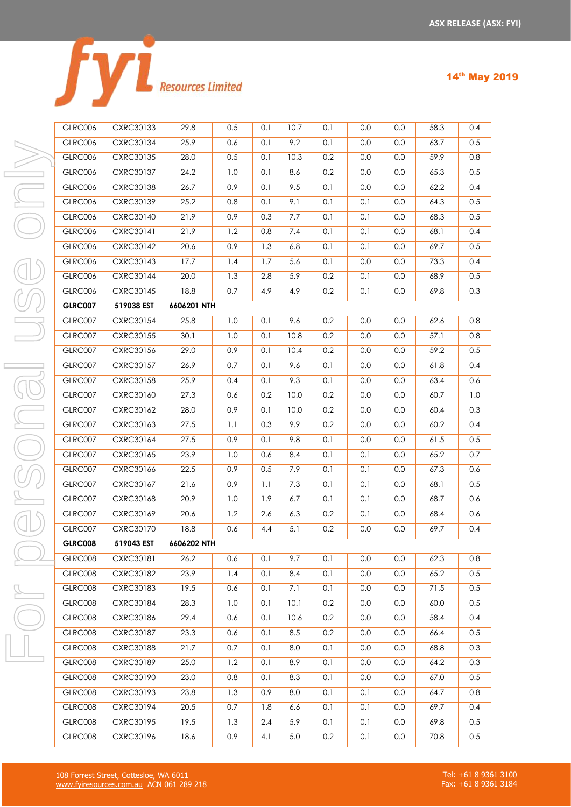|  | <b>Resources Limited</b> |
|--|--------------------------|

| GLRC006        | CXRC30133        | 29.8        | 0.5 | 0.1 | 10.7    | 0.1 | 0.0 | 0.0 | 58.3 | 0.4 |
|----------------|------------------|-------------|-----|-----|---------|-----|-----|-----|------|-----|
| GLRC006        | CXRC30134        | 25.9        | 0.6 | 0.1 | 9.2     | 0.1 | 0.0 | 0.0 | 63.7 | 0.5 |
| GLRC006        | CXRC30135        | 28.0        | 0.5 | 0.1 | 10.3    | 0.2 | 0.0 | 0.0 | 59.9 | 0.8 |
| GLRC006        | <b>CXRC30137</b> | 24.2        | 1.0 | 0.1 | 8.6     | 0.2 | 0.0 | 0.0 | 65.3 | 0.5 |
| GLRC006        | <b>CXRC30138</b> | 26.7        | 0.9 | 0.1 | 9.5     | 0.1 | 0.0 | 0.0 | 62.2 | 0.4 |
| GLRC006        | <b>CXRC30139</b> | 25.2        | 0.8 | 0.1 | 9.1     | 0.1 | 0.1 | 0.0 | 64.3 | 0.5 |
| GLRC006        | CXRC30140        | 21.9        | 0.9 | 0.3 | 7.7     | 0.1 | 0.1 | 0.0 | 68.3 | 0.5 |
| GLRC006        | CXRC30141        | 21.9        | 1.2 | 0.8 | 7.4     | 0.1 | 0.1 | 0.0 | 68.1 | 0.4 |
| GLRC006        | CXRC30142        | 20.6        | 0.9 | 1.3 | 6.8     | 0.1 | 0.1 | 0.0 | 69.7 | 0.5 |
| GLRC006        | CXRC30143        | 17.7        | 1.4 | 1.7 | 5.6     | 0.1 | 0.0 | 0.0 | 73.3 | 0.4 |
| GLRC006        | <b>CXRC30144</b> | 20.0        | 1.3 | 2.8 | 5.9     | 0.2 | 0.1 | 0.0 | 68.9 | 0.5 |
| GLRC006        | CXRC30145        | 18.8        | 0.7 | 4.9 | 4.9     | 0.2 | 0.1 | 0.0 | 69.8 | 0.3 |
| <b>GLRC007</b> | 519038 EST       | 6606201 NTH |     |     |         |     |     |     |      |     |
| GLRC007        | <b>CXRC30154</b> | 25.8        | 1.0 | 0.1 | 9.6     | 0.2 | 0.0 | 0.0 | 62.6 | 0.8 |
| GLRC007        | CXRC30155        | 30.1        | 1.0 | 0.1 | 10.8    | 0.2 | 0.0 | 0.0 | 57.1 | 0.8 |
| GLRC007        | CXRC30156        | 29.0        | 0.9 | 0.1 | 10.4    | 0.2 | 0.0 | 0.0 | 59.2 | 0.5 |
| GLRC007        | CXRC30157        | 26.9        | 0.7 | 0.1 | 9.6     | 0.1 | 0.0 | 0.0 | 61.8 | 0.4 |
| GLRC007        | <b>CXRC30158</b> | 25.9        | 0.4 | 0.1 | 9.3     | 0.1 | 0.0 | 0.0 | 63.4 | 0.6 |
| GLRC007        | CXRC30160        | 27.3        | 0.6 | 0.2 | 10.0    | 0.2 | 0.0 | 0.0 | 60.7 | 1.0 |
| GLRC007        | CXRC30162        | 28.0        | 0.9 | 0.1 | 10.0    | 0.2 | 0.0 | 0.0 | 60.4 | 0.3 |
| GLRC007        | CXRC30163        | 27.5        | 1.1 | 0.3 | 9.9     | 0.2 | 0.0 | 0.0 | 60.2 | 0.4 |
| GLRC007        | CXRC30164        | 27.5        | 0.9 | 0.1 | 9.8     | 0.1 | 0.0 | 0.0 | 61.5 | 0.5 |
| GLRC007        | CXRC30165        | 23.9        | 1.0 | 0.6 | 8.4     | 0.1 | 0.1 | 0.0 | 65.2 | 0.7 |
| GLRC007        | CXRC30166        | 22.5        | 0.9 | 0.5 | 7.9     | 0.1 | 0.1 | 0.0 | 67.3 | 0.6 |
| GLRC007        | CXRC30167        | 21.6        | 0.9 | 1.1 | 7.3     | 0.1 | 0.1 | 0.0 | 68.1 | 0.5 |
| GLRC007        | CXRC30168        | 20.9        | 1.0 | 1.9 | 6.7     | 0.1 | 0.1 | 0.0 | 68.7 | 0.6 |
| GLRC007        | CXRC30169        | 20.6        | 1.2 | 2.6 | 6.3     | 0.2 | 0.1 | 0.0 | 68.4 | 0.6 |
| GLRC007        | CXRC30170        | 18.8        | 0.6 | 4.4 | 5.1     | 0.2 | 0.0 | 0.0 | 69.7 | 0.4 |
| <b>GLRC008</b> | 519043 EST       | 6606202 NTH |     |     |         |     |     |     |      |     |
| GLRC008        | CXRC30181        | 26.2        | 0.6 | 0.1 | 9.7     | 0.1 | 0.0 | 0.0 | 62.3 | 0.8 |
| GLRC008        | CXRC30182        | 23.9        | 1.4 | 0.1 | 8.4     | 0.1 | 0.0 | 0.0 | 65.2 | 0.5 |
| GLRC008        | <b>CXRC30183</b> | 19.5        | 0.6 | 0.1 | 7.1     | 0.1 | 0.0 | 0.0 | 71.5 | 0.5 |
| GLRC008        | <b>CXRC30184</b> | 28.3        | 1.0 | 0.1 | 10.1    | 0.2 | 0.0 | 0.0 | 60.0 | 0.5 |
| GLRC008        | CXRC30186        | 29.4        | 0.6 | 0.1 | 10.6    | 0.2 | 0.0 | 0.0 | 58.4 | 0.4 |
| GLRC008        | <b>CXRC30187</b> | 23.3        | 0.6 | 0.1 | 8.5     | 0.2 | 0.0 | 0.0 | 66.4 | 0.5 |
| GLRC008        | CXRC30188        | 21.7        | 0.7 | 0.1 | 8.0     | 0.1 | 0.0 | 0.0 | 68.8 | 0.3 |
| GLRC008        | <b>CXRC30189</b> | 25.0        | 1.2 | 0.1 | 8.9     | 0.1 | 0.0 | 0.0 | 64.2 | 0.3 |
| GLRC008        | CXRC30190        | 23.0        | 0.8 | 0.1 | 8.3     | 0.1 | 0.0 | 0.0 | 67.0 | 0.5 |
| GLRC008        | CXRC30193        | 23.8        | 1.3 | 0.9 | 8.0     | 0.1 | 0.1 | 0.0 | 64.7 | 0.8 |
| GLRC008        | CXRC30194        | 20.5        | 0.7 | 1.8 | 6.6     | 0.1 | 0.1 | 0.0 | 69.7 | 0.4 |
| GLRC008        | CXRC30195        | 19.5        | 1.3 | 2.4 | 5.9     | 0.1 | 0.1 | 0.0 | 69.8 | 0.5 |
| GLRC008        | CXRC30196        | 18.6        | 0.9 | 4.1 | $5.0\,$ | 0.2 | 0.1 | 0.0 | 70.8 | 0.5 |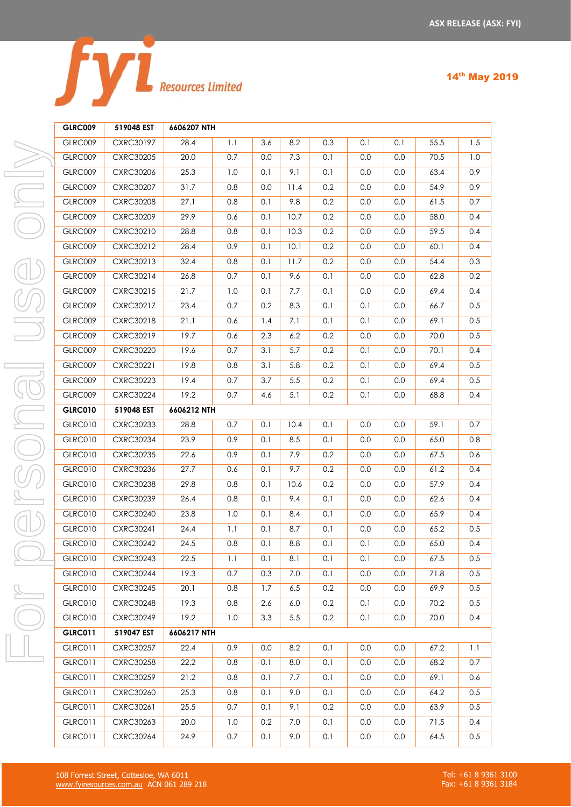|  | <b>Resources Limited</b> |
|--|--------------------------|
|  |                          |

|    | <b>GLRC009</b> | 519048 EST       | 6606207 NTH |     |     |      |     |     |         |      |     |
|----|----------------|------------------|-------------|-----|-----|------|-----|-----|---------|------|-----|
|    | GLRC009        | CXRC30197        | 28.4        | 1.1 | 3.6 | 8.2  | 0.3 | 0.1 | 0.1     | 55.5 | 1.5 |
|    | GLRC009        | <b>CXRC30205</b> | 20.0        | 0.7 | 0.0 | 7.3  | 0.1 | 0.0 | 0.0     | 70.5 | 1.0 |
| I. | GLRC009        | <b>CXRC30206</b> | 25.3        | 1.0 | 0.1 | 9.1  | 0.1 | 0.0 | 0.0     | 63.4 | 0.9 |
| I. | GLRC009        | <b>CXRC30207</b> | 31.7        | 0.8 | 0.0 | 11.4 | 0.2 | 0.0 | 0.0     | 54.9 | 0.9 |
| Ï. | GLRC009        | <b>CXRC30208</b> | 27.1        | 0.8 | 0.1 | 9.8  | 0.2 | 0.0 | 0.0     | 61.5 | 0.7 |
|    | GLRC009        | <b>CXRC30209</b> | 29.9        | 0.6 | 0.1 | 10.7 | 0.2 | 0.0 | 0.0     | 58.0 | 0.4 |
|    | GLRC009        | CXRC30210        | 28.8        | 0.8 | 0.1 | 10.3 | 0.2 | 0.0 | 0.0     | 59.5 | 0.4 |
|    | GLRC009        | CXRC30212        | 28.4        | 0.9 | 0.1 | 10.1 | 0.2 | 0.0 | 0.0     | 60.1 | 0.4 |
|    | GLRC009        | CXRC30213        | 32.4        | 0.8 | 0.1 | 11.7 | 0.2 | 0.0 | $0.0\,$ | 54.4 | 0.3 |
|    | GLRC009        | CXRC30214        | 26.8        | 0.7 | 0.1 | 9.6  | 0.1 | 0.0 | 0.0     | 62.8 | 0.2 |
|    | GLRC009        | CXRC30215        | 21.7        | 1.0 | 0.1 | 7.7  | 0.1 | 0.0 | 0.0     | 69.4 | 0.4 |
|    | GLRC009        | CXRC30217        | 23.4        | 0.7 | 0.2 | 8.3  | 0.1 | 0.1 | 0.0     | 66.7 | 0.5 |
|    | GLRC009        | CXRC30218        | 21.1        | 0.6 | 1.4 | 7.1  | 0.1 | 0.1 | 0.0     | 69.1 | 0.5 |
|    | GLRC009        | CXRC30219        | 19.7        | 0.6 | 2.3 | 6.2  | 0.2 | 0.0 | 0.0     | 70.0 | 0.5 |
|    | GLRC009        | <b>CXRC30220</b> | 19.6        | 0.7 | 3.1 | 5.7  | 0.2 | 0.1 | 0.0     | 70.1 | 0.4 |
| L  | GLRC009        | CXRC30221        | 19.8        | 0.8 | 3.1 | 5.8  | 0.2 | 0.1 | 0.0     | 69.4 | 0.5 |
|    | GLRC009        | <b>CXRC30223</b> | 19.4        | 0.7 | 3.7 | 5.5  | 0.2 | 0.1 | 0.0     | 69.4 | 0.5 |
|    | GLRC009        | <b>CXRC30224</b> | 19.2        | 0.7 | 4.6 | 5.1  | 0.2 | 0.1 | 0.0     | 68.8 | 0.4 |
| I. | <b>GLRC010</b> | 519048 EST       | 6606212 NTH |     |     |      |     |     |         |      |     |
| Ï. | GLRC010        | <b>CXRC30233</b> | 28.8        | 0.7 | 0.1 | 10.4 | 0.1 | 0.0 | 0.0     | 59.1 | 0.7 |
|    | GLRC010        | CXRC30234        | 23.9        | 0.9 | 0.1 | 8.5  | 0.1 | 0.0 | 0.0     | 65.0 | 0.8 |
|    | GLRC010        | <b>CXRC30235</b> | 22.6        | 0.9 | 0.1 | 7.9  | 0.2 | 0.0 | 0.0     | 67.5 | 0.6 |
|    | GLRC010        | CXRC30236        | 27.7        | 0.6 | 0.1 | 9.7  | 0.2 | 0.0 | 0.0     | 61.2 | 0.4 |
|    | GLRC010        | <b>CXRC30238</b> | 29.8        | 0.8 | 0.1 | 10.6 | 0.2 | 0.0 | 0.0     | 57.9 | 0.4 |
| Ï. | GLRC010        | <b>CXRC30239</b> | 26.4        | 0.8 | 0.1 | 9.4  | 0.1 | 0.0 | 0.0     | 62.6 | 0.4 |
|    | GLRC010        | <b>CXRC30240</b> | 23.8        | 1.0 | 0.1 | 8.4  | 0.1 | 0.0 | $0.0\,$ | 65.9 | 0.4 |
|    | GLRC010        | <b>CXRC30241</b> | 24.4        | 1.1 | 0.1 | 8.7  | 0.1 | 0.0 | 0.0     | 65.2 | 0.5 |
|    | GLRC010        | <b>CXRC30242</b> | 24.5        | 0.8 | 0.1 | 8.8  | 0.1 | 0.1 | 0.0     | 65.0 | 0.4 |
|    | GLRC010        | <b>CXRC30243</b> | 22.5        | 1.1 | 0.1 | 8.1  | 0.1 | 0.1 | 0.0     | 67.5 | 0.5 |
|    | <b>GLRC010</b> | <b>CXRC30244</b> | 19.3        | 0.7 | 0.3 | 7.0  | 0.1 | 0.0 | 0.0     | 71.8 | 0.5 |
| I. | GLRC010        | <b>CXRC30245</b> | 20.1        | 0.8 | 1.7 | 6.5  | 0.2 | 0.0 | 0.0     | 69.9 | 0.5 |
|    | <b>GLRC010</b> | <b>CXRC30248</b> | 19.3        | 0.8 | 2.6 | 6.0  | 0.2 | 0.1 | 0.0     | 70.2 | 0.5 |
|    | GLRC010        | <b>CXRC30249</b> | 19.2        | 1.0 | 3.3 | 5.5  | 0.2 | 0.1 | 0.0     | 70.0 | 0.4 |
|    | <b>GLRC011</b> | 519047 EST       | 6606217 NTH |     |     |      |     |     |         |      |     |
|    | <b>GLRC011</b> | <b>CXRC30257</b> | 22.4        | 0.9 | 0.0 | 8.2  | 0.1 | 0.0 | 0.0     | 67.2 | 1.1 |
| I. | <b>GLRC011</b> | <b>CXRC30258</b> | 22.2        | 0.8 | 0.1 | 8.0  | 0.1 | 0.0 | 0.0     | 68.2 | 0.7 |
|    | <b>GLRC011</b> | <b>CXRC30259</b> | 21.2        | 0.8 | 0.1 | 7.7  | 0.1 | 0.0 | 0.0     | 69.1 | 0.6 |
|    | GLRC011        | <b>CXRC30260</b> | 25.3        | 0.8 | 0.1 | 9.0  | 0.1 | 0.0 | $0.0\,$ | 64.2 | 0.5 |
|    | GLRC011        | CXRC30261        | 25.5        | 0.7 | 0.1 | 9.1  | 0.2 | 0.0 | 0.0     | 63.9 | 0.5 |
|    | <b>GLRC011</b> | <b>CXRC30263</b> | 20.0        | 1.0 | 0.2 | 7.0  | 0.1 | 0.0 | 0.0     | 71.5 | 0.4 |
|    | <b>GLRC011</b> | <b>CXRC30264</b> | 24.9        | 0.7 | 0.1 | 9.0  | 0.1 | 0.0 | 0.0     | 64.5 | 0.5 |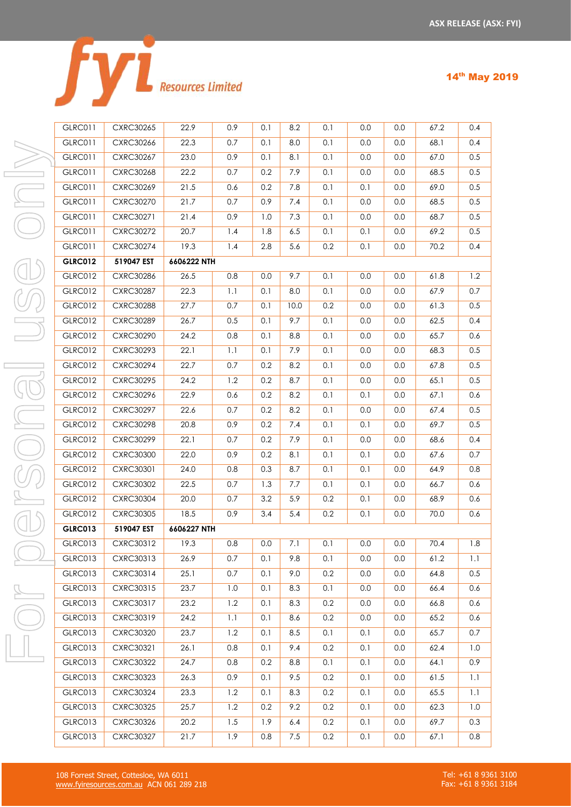|  | <b>Resources Limited</b> |
|--|--------------------------|

| <b>GLRC011</b> | CXRC30265        | 22.9        | 0.9 | 0.1 | 8.2  | 0.1 | 0.0 | 0.0     | 67.2 | 0.4               |
|----------------|------------------|-------------|-----|-----|------|-----|-----|---------|------|-------------------|
| GLRC011        | CXRC30266        | 22.3        | 0.7 | 0.1 | 8.0  | 0.1 | 0.0 | 0.0     | 68.1 | 0.4               |
| <b>GLRC011</b> | <b>CXRC30267</b> | 23.0        | 0.9 | 0.1 | 8.1  | 0.1 | 0.0 | 0.0     | 67.0 | 0.5               |
| GLRC011        | <b>CXRC30268</b> | 22.2        | 0.7 | 0.2 | 7.9  | 0.1 | 0.0 | 0.0     | 68.5 | 0.5               |
| GLRC011        | <b>CXRC30269</b> | 21.5        | 0.6 | 0.2 | 7.8  | 0.1 | 0.1 | 0.0     | 69.0 | 0.5               |
| GLRC011        | <b>CXRC30270</b> | 21.7        | 0.7 | 0.9 | 7.4  | 0.1 | 0.0 | 0.0     | 68.5 | 0.5               |
| <b>GLRC011</b> | CXRC30271        | 21.4        | 0.9 | 1.0 | 7.3  | 0.1 | 0.0 | 0.0     | 68.7 | 0.5               |
| GLRC011        | <b>CXRC30272</b> | 20.7        | 1.4 | 1.8 | 6.5  | 0.1 | 0.1 | 0.0     | 69.2 | 0.5               |
| GLRC011        | <b>CXRC30274</b> | 19.3        | 1.4 | 2.8 | 5.6  | 0.2 | 0.1 | 0.0     | 70.2 | 0.4               |
| <b>GLRC012</b> | 519047 EST       | 6606222 NTH |     |     |      |     |     |         |      |                   |
| <b>GLRC012</b> | CXRC30286        | 26.5        | 0.8 | 0.0 | 9.7  | 0.1 | 0.0 | 0.0     | 61.8 | 1.2               |
| GLRC012        | <b>CXRC30287</b> | 22.3        | 1.1 | 0.1 | 8.0  | 0.1 | 0.0 | 0.0     | 67.9 | 0.7               |
| GLRC012        | <b>CXRC30288</b> | 27.7        | 0.7 | 0.1 | 10.0 | 0.2 | 0.0 | 0.0     | 61.3 | 0.5               |
| <b>GLRC012</b> | <b>CXRC30289</b> | 26.7        | 0.5 | 0.1 | 9.7  | 0.1 | 0.0 | 0.0     | 62.5 | 0.4               |
| <b>GLRC012</b> | <b>CXRC30290</b> | 24.2        | 0.8 | 0.1 | 8.8  | 0.1 | 0.0 | 0.0     | 65.7 | 0.6               |
| <b>GLRC012</b> | CXRC30293        | 22.1        | 1.1 | 0.1 | 7.9  | 0.1 | 0.0 | 0.0     | 68.3 | 0.5               |
| <b>GLRC012</b> | <b>CXRC30294</b> | 22.7        | 0.7 | 0.2 | 8.2  | 0.1 | 0.0 | 0.0     | 67.8 | 0.5               |
| GLRC012        | <b>CXRC30295</b> | 24.2        | 1.2 | 0.2 | 8.7  | 0.1 | 0.0 | 0.0     | 65.1 | 0.5               |
| GLRC012        | CXRC30296        | 22.9        | 0.6 | 0.2 | 8.2  | 0.1 | 0.1 | 0.0     | 67.1 | 0.6               |
| GLRC012        | <b>CXRC30297</b> | 22.6        | 0.7 | 0.2 | 8.2  | 0.1 | 0.0 | 0.0     | 67.4 | 0.5               |
| <b>GLRC012</b> | <b>CXRC30298</b> | 20.8        | 0.9 | 0.2 | 7.4  | 0.1 | 0.1 | 0.0     | 69.7 | 0.5               |
| <b>GLRC012</b> | <b>CXRC30299</b> | 22.1        | 0.7 | 0.2 | 7.9  | 0.1 | 0.0 | 0.0     | 68.6 | 0.4               |
| GLRC012        | <b>CXRC30300</b> | 22.0        | 0.9 | 0.2 | 8.1  | 0.1 | 0.1 | 0.0     | 67.6 | 0.7               |
| <b>GLRC012</b> | CXRC30301        | 24.0        | 0.8 | 0.3 | 8.7  | 0.1 | 0.1 | 0.0     | 64.9 | 0.8               |
| GLRC012        | <b>CXRC30302</b> | 22.5        | 0.7 | 1.3 | 7.7  | 0.1 | 0.1 | 0.0     | 66.7 | 0.6               |
| GLRC012        | <b>CXRC30304</b> | 20.0        | 0.7 | 3.2 | 5.9  | 0.2 | 0.1 | 0.0     | 68.9 | 0.6               |
| <b>GLRC012</b> | <b>CXRC30305</b> | 18.5        | 0.9 | 3.4 | 5.4  | 0.2 | 0.1 | 0.0     | 70.0 | 0.6               |
| <b>GLRC013</b> | 519047 EST       | 6606227 NTH |     |     |      |     |     |         |      |                   |
| GLRC013        | CXRC30312        | 19.3        | 0.8 | 0.0 | 7.1  | 0.1 | 0.0 | 0.0     | 70.4 | 1.8               |
| GLRC013        | CXRC30313        | 26.9        | 0.7 | 0.1 | 9.8  | 0.1 | 0.0 | 0.0     | 61.2 | 1.1               |
| <b>GLRC013</b> | CXRC30314        | 25.1        | 0.7 | 0.1 | 9.0  | 0.2 | 0.0 | 0.0     | 64.8 | 0.5               |
| GLRC013        | CXRC30315        | 23.7        | 1.0 | 0.1 | 8.3  | 0.1 | 0.0 | 0.0     | 66.4 | 0.6               |
| GLRC013        | CXRC30317        | 23.2        | 1.2 | 0.1 | 8.3  | 0.2 | 0.0 | $0.0\,$ | 66.8 | 0.6               |
| GLRC013        | CXRC30319        | 24.2        | 1.1 | 0.1 | 8.6  | 0.2 | 0.0 | 0.0     | 65.2 | 0.6               |
| GLRC013        | CXRC30320        | 23.7        | 1.2 | 0.1 | 8.5  | 0.1 | 0.1 | 0.0     | 65.7 | 0.7               |
| GLRC013        | CXRC30321        | 26.1        | 0.8 | 0.1 | 9.4  | 0.2 | 0.1 | 0.0     | 62.4 | 1.0               |
| <b>GLRC013</b> | <b>CXRC30322</b> | 24.7        | 0.8 | 0.2 | 8.8  | 0.1 | 0.1 | $0.0\,$ | 64.1 | 0.9               |
| <b>GLRC013</b> | CXRC30323        | 26.3        | 0.9 | 0.1 | 9.5  | 0.2 | 0.1 | 0.0     | 61.5 | $\overline{1}$ .1 |
| GLRC013        | <b>CXRC30324</b> | 23.3        | 1.2 | 0.1 | 8.3  | 0.2 | 0.1 | 0.0     | 65.5 | 1.1               |
| GLRC013        | CXRC30325        | 25.7        | 1.2 | 0.2 | 9.2  | 0.2 | 0.1 | $0.0\,$ | 62.3 | 1.0               |
| GLRC013        | CXRC30326        | 20.2        | 1.5 | 1.9 | 6.4  | 0.2 | 0.1 | 0.0     | 69.7 | 0.3               |
| GLRC013        | <b>CXRC30327</b> | 21.7        | 1.9 | 0.8 | 7.5  | 0.2 | 0.1 | 0.0     | 67.1 | 0.8               |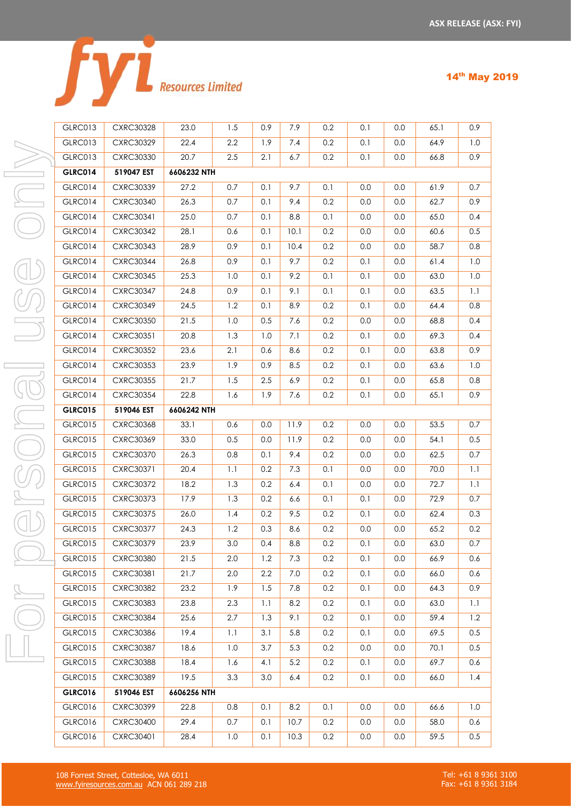|  | <b>Resources Limited</b> |
|--|--------------------------|
|  |                          |

| GLRC013        | <b>CXRC30328</b> | 23.0        | 1.5 | 0.9 | 7.9  | 0.2     | 0.1 | 0.0     | 65.1 | 0.9 |
|----------------|------------------|-------------|-----|-----|------|---------|-----|---------|------|-----|
| GLRC013        | <b>CXRC30329</b> | 22.4        | 2.2 | 1.9 | 7.4  | 0.2     | 0.1 | 0.0     | 64.9 | 1.0 |
| GLRC013        | <b>CXRC30330</b> | 20.7        | 2.5 | 2.1 | 6.7  | 0.2     | 0.1 | 0.0     | 66.8 | 0.9 |
| <b>GLRC014</b> | 519047 EST       | 6606232 NTH |     |     |      |         |     |         |      |     |
| GLRC014        | <b>CXRC30339</b> | 27.2        | 0.7 | 0.1 | 9.7  | 0.1     | 0.0 | 0.0     | 61.9 | 0.7 |
| GLRC014        | <b>CXRC30340</b> | 26.3        | 0.7 | 0.1 | 9.4  | 0.2     | 0.0 | 0.0     | 62.7 | 0.9 |
| GLRC014        | CXRC30341        | 25.0        | 0.7 | 0.1 | 8.8  | 0.1     | 0.0 | 0.0     | 65.0 | 0.4 |
| GLRC014        | <b>CXRC30342</b> | 28.1        | 0.6 | 0.1 | 10.1 | 0.2     | 0.0 | 0.0     | 60.6 | 0.5 |
| GLRC014        | <b>CXRC30343</b> | 28.9        | 0.9 | 0.1 | 10.4 | 0.2     | 0.0 | 0.0     | 58.7 | 0.8 |
| GLRC014        | <b>CXRC30344</b> | 26.8        | 0.9 | 0.1 | 9.7  | 0.2     | 0.1 | 0.0     | 61.4 | 1.0 |
| GLRC014        | <b>CXRC30345</b> | 25.3        | 1.0 | 0.1 | 9.2  | 0.1     | 0.1 | 0.0     | 63.0 | 1.0 |
| GLRC014        | <b>CXRC30347</b> | 24.8        | 0.9 | 0.1 | 9.1  | 0.1     | 0.1 | 0.0     | 63.5 | 1.1 |
| GLRC014        | <b>CXRC30349</b> | 24.5        | 1.2 | 0.1 | 8.9  | 0.2     | 0.1 | 0.0     | 64.4 | 0.8 |
| GLRC014        | <b>CXRC30350</b> | 21.5        | 1.0 | 0.5 | 7.6  | 0.2     | 0.0 | 0.0     | 68.8 | 0.4 |
| GLRC014        | CXRC30351        | 20.8        | 1.3 | 1.0 | 7.1  | 0.2     | 0.1 | 0.0     | 69.3 | 0.4 |
| GLRC014        | <b>CXRC30352</b> | 23.6        | 2.1 | 0.6 | 8.6  | 0.2     | 0.1 | 0.0     | 63.8 | 0.9 |
| GLRC014        | <b>CXRC30353</b> | 23.9        | 1.9 | 0.9 | 8.5  | 0.2     | 0.1 | 0.0     | 63.6 | 1.0 |
| GLRC014        | <b>CXRC30355</b> | 21.7        | 1.5 | 2.5 | 6.9  | 0.2     | 0.1 | 0.0     | 65.8 | 0.8 |
| GLRC014        | <b>CXRC30354</b> | 22.8        | 1.6 | 1.9 | 7.6  | 0.2     | 0.1 | 0.0     | 65.1 | 0.9 |
| <b>GLRC015</b> | 519046 EST       | 6606242 NTH |     |     |      |         |     |         |      |     |
| <b>GLRC015</b> | <b>CXRC30368</b> | 33.1        | 0.6 | 0.0 | 11.9 | 0.2     | 0.0 | 0.0     | 53.5 | 0.7 |
| <b>GLRC015</b> | <b>CXRC30369</b> | 33.0        | 0.5 | 0.0 | 11.9 | 0.2     | 0.0 | 0.0     | 54.1 | 0.5 |
| <b>GLRC015</b> | <b>CXRC30370</b> | 26.3        | 0.8 | 0.1 | 9.4  | 0.2     | 0.0 | 0.0     | 62.5 | 0.7 |
| <b>GLRC015</b> | CXRC30371        | 20.4        | 1.1 | 0.2 | 7.3  | 0.1     | 0.0 | 0.0     | 70.0 | 1.1 |
| <b>GLRC015</b> | <b>CXRC30372</b> | 18.2        | 1.3 | 0.2 | 6.4  | 0.1     | 0.0 | 0.0     | 72.7 | 1.1 |
| <b>GLRC015</b> | <b>CXRC30373</b> | 17.9        | 1.3 | 0.2 | 6.6  | 0.1     | 0.1 | 0.0     | 72.9 | 0.7 |
| <b>GLRC015</b> | <b>CXRC30375</b> | 26.0        | 1.4 | 0.2 | 9.5  | 0.2     | 0.1 | 0.0     | 62.4 | 0.3 |
| <b>GLRC015</b> | <b>CXRC30377</b> | 24.3        | 1.2 | 0.3 | 8.6  | $0.2\,$ | 0.0 | $0.0\,$ | 65.2 | 0.2 |
| <b>GLRC015</b> | <b>CXRC30379</b> | 23.9        | 3.0 | 0.4 | 8.8  | 0.2     | 0.1 | 0.0     | 63.0 | 0.7 |
| <b>GLRC015</b> | <b>CXRC30380</b> | 21.5        | 2.0 | 1.2 | 7.3  | 0.2     | 0.1 | 0.0     | 66.9 | 0.6 |
| <b>GLRC015</b> | CXRC30381        | 21.7        | 2.0 | 2.2 | 7.0  | 0.2     | 0.1 | 0.0     | 66.0 | 0.6 |
| GLRC015        | <b>CXRC30382</b> | 23.2        | 1.9 | 1.5 | 7.8  | 0.2     | 0.1 | $0.0\,$ | 64.3 | 0.9 |
| <b>GLRC015</b> | <b>CXRC30383</b> | 23.8        | 2.3 | 1.1 | 8.2  | 0.2     | 0.1 | 0.0     | 63.0 | 1.1 |
| GLRC015        | <b>CXRC30384</b> | 25.6        | 2.7 | 1.3 | 9.1  | 0.2     | 0.1 | 0.0     | 59.4 | 1.2 |
| <b>GLRC015</b> | <b>CXRC30386</b> | 19.4        | 1.1 | 3.1 | 5.8  | 0.2     | 0.1 | 0.0     | 69.5 | 0.5 |
| GLRC015        | <b>CXRC30387</b> | 18.6        | 1.0 | 3.7 | 5.3  | 0.2     | 0.0 | 0.0     | 70.1 | 0.5 |
| GLRC015        | <b>CXRC30388</b> | 18.4        | 1.6 | 4.1 | 5.2  | 0.2     | 0.1 | 0.0     | 69.7 | 0.6 |
| GLRC015        | <b>CXRC30389</b> | 19.5        | 3.3 | 3.0 | 6.4  | 0.2     | 0.1 | 0.0     | 66.0 | 1.4 |
| <b>GLRC016</b> | 519046 EST       | 6606256 NTH |     |     |      |         |     |         |      |     |
| GLRC016        | <b>CXRC30399</b> | 22.8        | 0.8 | 0.1 | 8.2  | 0.1     | 0.0 | 0.0     | 66.6 | 1.0 |
| GLRC016        | <b>CXRC30400</b> | 29.4        | 0.7 | 0.1 | 10.7 | 0.2     | 0.0 | 0.0     | 58.0 | 0.6 |
| GLRC016        | CXRC30401        | 28.4        | 1.0 | 0.1 | 10.3 | 0.2     | 0.0 | 0.0     | 59.5 | 0.5 |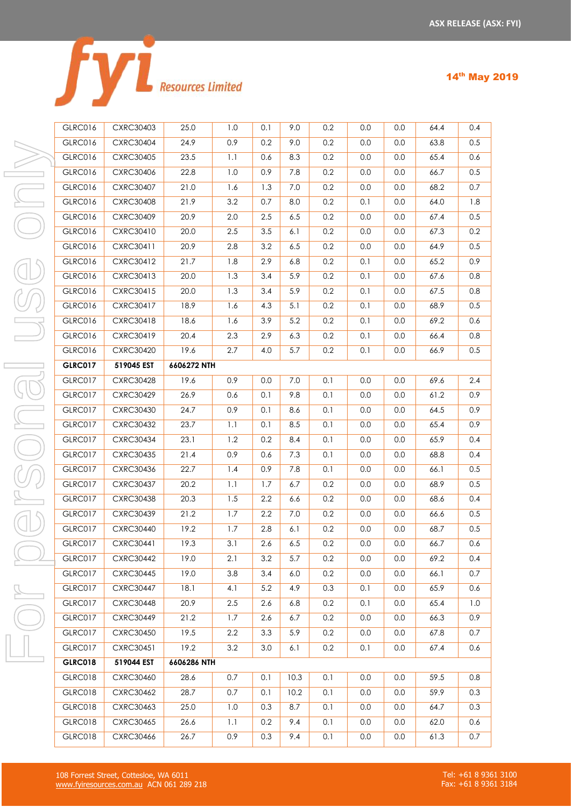|  | <b>Resources Limited</b> |
|--|--------------------------|
|  |                          |

| - - |  | . . |  |
|-----|--|-----|--|
|-----|--|-----|--|

| GLRC016        | <b>CXRC30403</b> | 25.0        | 1.0     | 0.1              | 9.0  | 0.2 | 0.0 | 0.0     | 64.4 | 0.4 |
|----------------|------------------|-------------|---------|------------------|------|-----|-----|---------|------|-----|
| GLRC016        | <b>CXRC30404</b> | 24.9        | 0.9     | 0.2              | 9.0  | 0.2 | 0.0 | 0.0     | 63.8 | 0.5 |
| <b>GLRC016</b> | <b>CXRC30405</b> | 23.5        | 1.1     | 0.6              | 8.3  | 0.2 | 0.0 | $0.0\,$ | 65.4 | 0.6 |
| <b>GLRC016</b> | CXRC30406        | 22.8        | 1.0     | 0.9              | 7.8  | 0.2 | 0.0 | 0.0     | 66.7 | 0.5 |
| <b>GLRC016</b> | <b>CXRC30407</b> | 21.0        | 1.6     | 1.3              | 7.0  | 0.2 | 0.0 | 0.0     | 68.2 | 0.7 |
| GLRC016        | <b>CXRC30408</b> | 21.9        | 3.2     | 0.7              | 8.0  | 0.2 | 0.1 | 0.0     | 64.0 | 1.8 |
| <b>GLRC016</b> | <b>CXRC30409</b> | 20.9        | 2.0     | $2.5\,$          | 6.5  | 0.2 | 0.0 | 0.0     | 67.4 | 0.5 |
| <b>GLRC016</b> | CXRC30410        | 20.0        | $2.5\,$ | 3.5              | 6.1  | 0.2 | 0.0 | 0.0     | 67.3 | 0.2 |
| GLRC016        | CXRC30411        | 20.9        | 2.8     | 3.2              | 6.5  | 0.2 | 0.0 | 0.0     | 64.9 | 0.5 |
| <b>GLRC016</b> | <b>CXRC30412</b> | 21.7        | 1.8     | 2.9              | 6.8  | 0.2 | 0.1 | 0.0     | 65.2 | 0.9 |
| <b>GLRC016</b> | CXRC30413        | 20.0        | 1.3     | 3.4              | 5.9  | 0.2 | 0.1 | 0.0     | 67.6 | 0.8 |
| <b>GLRC016</b> | CXRC30415        | 20.0        | 1.3     | 3.4              | 5.9  | 0.2 | 0.1 | 0.0     | 67.5 | 0.8 |
| GLRC016        | CXRC30417        | 18.9        | 1.6     | 4.3              | 5.1  | 0.2 | 0.1 | 0.0     | 68.9 | 0.5 |
| <b>GLRC016</b> | CXRC30418        | 18.6        | 1.6     | 3.9              | 5.2  | 0.2 | 0.1 | 0.0     | 69.2 | 0.6 |
| <b>GLRC016</b> | CXRC30419        | 20.4        | 2.3     | 2.9              | 6.3  | 0.2 | 0.1 | 0.0     | 66.4 | 0.8 |
| <b>GLRC016</b> | <b>CXRC30420</b> | 19.6        | 2.7     | 4.0              | 5.7  | 0.2 | 0.1 | 0.0     | 66.9 | 0.5 |
| <b>GLRC017</b> | 519045 EST       | 6606272 NTH |         |                  |      |     |     |         |      |     |
| <b>GLRC017</b> | <b>CXRC30428</b> | 19.6        | 0.9     | 0.0              | 7.0  | 0.1 | 0.0 | 0.0     | 69.6 | 2.4 |
| <b>GLRC017</b> | <b>CXRC30429</b> | 26.9        | 0.6     | 0.1              | 9.8  | 0.1 | 0.0 | 0.0     | 61.2 | 0.9 |
| <b>GLRC017</b> | <b>CXRC30430</b> | 24.7        | 0.9     | 0.1              | 8.6  | 0.1 | 0.0 | 0.0     | 64.5 | 0.9 |
| GLRC017        | <b>CXRC30432</b> | 23.7        | 1.1     | 0.1              | 8.5  | 0.1 | 0.0 | 0.0     | 65.4 | 0.9 |
| GLRC017        | <b>CXRC30434</b> | 23.1        | 1.2     | 0.2              | 8.4  | 0.1 | 0.0 | 0.0     | 65.9 | 0.4 |
| GLRC017        | <b>CXRC30435</b> | 21.4        | 0.9     | 0.6              | 7.3  | 0.1 | 0.0 | 0.0     | 68.8 | 0.4 |
| <b>GLRC017</b> | CXRC30436        | 22.7        | 1.4     | 0.9              | 7.8  | 0.1 | 0.0 | 0.0     | 66.1 | 0.5 |
| <b>GLRC017</b> | <b>CXRC30437</b> | 20.2        | 1.1     | 1.7              | 6.7  | 0.2 | 0.0 | 0.0     | 68.9 | 0.5 |
| GLRC017        | <b>CXRC30438</b> | 20.3        | 1.5     | $2.2\phantom{0}$ | 6.6  | 0.2 | 0.0 | 0.0     | 68.6 | 0.4 |
| <b>GLRC017</b> | <b>CXRC30439</b> | 21.2        | $1.7$   | 2.2              | 7.0  | 0.2 | 0.0 | 0.0     | 66.6 | 0.5 |
| GLRC017        | <b>CXRC30440</b> | 19.2        | $1.7$   | 2.8              | 6.1  | 0.2 | 0.0 | 0.0     | 68.7 | 0.5 |
| <b>GLRC017</b> | CXRC30441        | 19.3        | 3.1     | 2.6              | 6.5  | 0.2 | 0.0 | 0.0     | 66.7 | 0.6 |
| <b>GLRC017</b> | <b>CXRC30442</b> | 19.0        | 2.1     | 3.2              | 5.7  | 0.2 | 0.0 | 0.0     | 69.2 | 0.4 |
| GLRC017        | <b>CXRC30445</b> | 19.0        | 3.8     | 3.4              | 6.0  | 0.2 | 0.0 | 0.0     | 66.1 | 0.7 |
| GLRC017        | <b>CXRC30447</b> | 18.1        | 4.1     | 5.2              | 4.9  | 0.3 | 0.1 | 0.0     | 65.9 | 0.6 |
| GLRC017        | <b>CXRC30448</b> | 20.9        | 2.5     | 2.6              | 6.8  | 0.2 | 0.1 | 0.0     | 65.4 | 1.0 |
| GLRC017        | <b>CXRC30449</b> | 21.2        | 1.7     | 2.6              | 6.7  | 0.2 | 0.0 | 0.0     | 66.3 | 0.9 |
| GLRC017        | <b>CXRC30450</b> | 19.5        | $2.2\,$ | 3.3              | 5.9  | 0.2 | 0.0 | 0.0     | 67.8 | 0.7 |
| GLRC017        | CXRC30451        | 19.2        | 3.2     | 3.0              | 6.1  | 0.2 | 0.1 | 0.0     | 67.4 | 0.6 |
| <b>GLRC018</b> | 519044 EST       | 6606286 NTH |         |                  |      |     |     |         |      |     |
| GLRC018        | CXRC30460        | 28.6        | 0.7     | 0.1              | 10.3 | 0.1 | 0.0 | 0.0     | 59.5 | 0.8 |
| GLRC018        | <b>CXRC30462</b> | 28.7        | 0.7     | 0.1              | 10.2 | 0.1 | 0.0 | 0.0     | 59.9 | 0.3 |
| GLRC018        | CXRC30463        | 25.0        | 1.0     | 0.3              | 8.7  | 0.1 | 0.0 | 0.0     | 64.7 | 0.3 |
| GLRC018        | <b>CXRC30465</b> | 26.6        | 1.1     | 0.2              | 9.4  | 0.1 | 0.0 | 0.0     | 62.0 | 0.6 |
| GLRC018        | <b>CXRC30466</b> | 26.7        | 0.9     | 0.3              | 9.4  | 0.1 | 0.0 | 0.0     | 61.3 | 0.7 |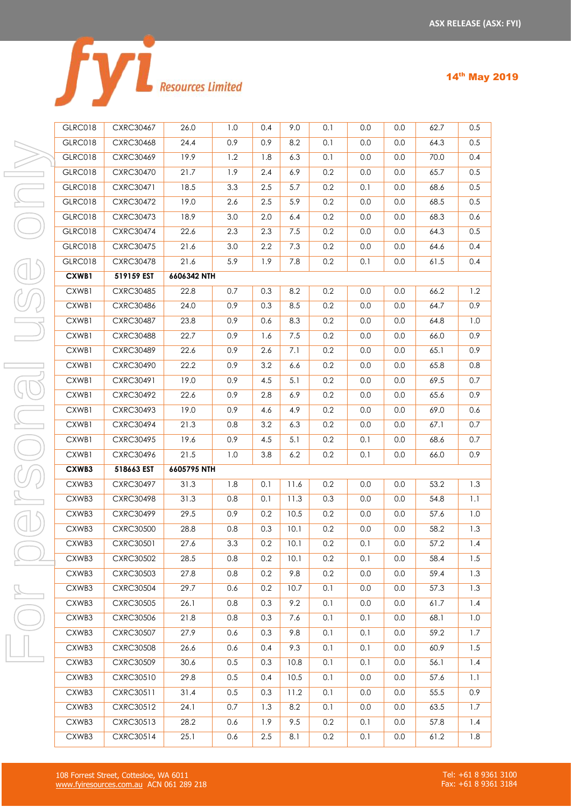|  | <b>Resources Limited</b> |
|--|--------------------------|

|  |  | 14th May 2019 |
|--|--|---------------|
|--|--|---------------|

| <b>GLRC018</b> | <b>CXRC30467</b> | 26.0        | 1.0 | 0.4 | 9.0  | 0.1 | 0.0 | 0.0 | 62.7 | 0.5 |
|----------------|------------------|-------------|-----|-----|------|-----|-----|-----|------|-----|
| <b>GLRC018</b> | <b>CXRC30468</b> | 24.4        | 0.9 | 0.9 | 8.2  | 0.1 | 0.0 | 0.0 | 64.3 | 0.5 |
| <b>GLRC018</b> | <b>CXRC30469</b> | 19.9        | 1.2 | 1.8 | 6.3  | 0.1 | 0.0 | 0.0 | 70.0 | 0.4 |
| GLRC018        | <b>CXRC30470</b> | 21.7        | 1.9 | 2.4 | 6.9  | 0.2 | 0.0 | 0.0 | 65.7 | 0.5 |
| <b>GLRC018</b> | CXRC30471        | 18.5        | 3.3 | 2.5 | 5.7  | 0.2 | 0.1 | 0.0 | 68.6 | 0.5 |
| <b>GLRC018</b> | <b>CXRC30472</b> | 19.0        | 2.6 | 2.5 | 5.9  | 0.2 | 0.0 | 0.0 | 68.5 | 0.5 |
| <b>GLRC018</b> | <b>CXRC30473</b> | 18.9        | 3.0 | 2.0 | 6.4  | 0.2 | 0.0 | 0.0 | 68.3 | 0.6 |
| <b>GLRC018</b> | <b>CXRC30474</b> | 22.6        | 2.3 | 2.3 | 7.5  | 0.2 | 0.0 | 0.0 | 64.3 | 0.5 |
| GLRC018        | <b>CXRC30475</b> | 21.6        | 3.0 | 2.2 | 7.3  | 0.2 | 0.0 | 0.0 | 64.6 | 0.4 |
| <b>GLRC018</b> | <b>CXRC30478</b> | 21.6        | 5.9 | 1.9 | 7.8  | 0.2 | 0.1 | 0.0 | 61.5 | 0.4 |
| CXWB1          | 519159 EST       | 6606342 NTH |     |     |      |     |     |     |      |     |
| CXWB1          | <b>CXRC30485</b> | 22.8        | 0.7 | 0.3 | 8.2  | 0.2 | 0.0 | 0.0 | 66.2 | 1.2 |
| CXWB1          | <b>CXRC30486</b> | 24.0        | 0.9 | 0.3 | 8.5  | 0.2 | 0.0 | 0.0 | 64.7 | 0.9 |
| CXWB1          | <b>CXRC30487</b> | 23.8        | 0.9 | 0.6 | 8.3  | 0.2 | 0.0 | 0.0 | 64.8 | 1.0 |
| CXWB1          | <b>CXRC30488</b> | 22.7        | 0.9 | 1.6 | 7.5  | 0.2 | 0.0 | 0.0 | 66.0 | 0.9 |
| CXWB1          | <b>CXRC30489</b> | 22.6        | 0.9 | 2.6 | 7.1  | 0.2 | 0.0 | 0.0 | 65.1 | 0.9 |
| CXWB1          | <b>CXRC30490</b> | 22.2        | 0.9 | 3.2 | 6.6  | 0.2 | 0.0 | 0.0 | 65.8 | 0.8 |
| CXWB1          | CXRC30491        | 19.0        | 0.9 | 4.5 | 5.1  | 0.2 | 0.0 | 0.0 | 69.5 | 0.7 |
| CXWB1          | <b>CXRC30492</b> | 22.6        | 0.9 | 2.8 | 6.9  | 0.2 | 0.0 | 0.0 | 65.6 | 0.9 |
| CXWB1          | CXRC30493        | 19.0        | 0.9 | 4.6 | 4.9  | 0.2 | 0.0 | 0.0 | 69.0 | 0.6 |
| CXWB1          | <b>CXRC30494</b> | 21.3        | 0.8 | 3.2 | 6.3  | 0.2 | 0.0 | 0.0 | 67.1 | 0.7 |
| CXWB1          | <b>CXRC30495</b> | 19.6        | 0.9 | 4.5 | 5.1  | 0.2 | 0.1 | 0.0 | 68.6 | 0.7 |
| CXWB1          | CXRC30496        | 21.5        | 1.0 | 3.8 | 6.2  | 0.2 | 0.1 | 0.0 | 66.0 | 0.9 |
| CXWB3          | 518663 EST       | 6605795 NTH |     |     |      |     |     |     |      |     |
| CXWB3          | <b>CXRC30497</b> | 31.3        | 1.8 | 0.1 | 11.6 | 0.2 | 0.0 | 0.0 | 53.2 | 1.3 |
| CXWB3          | <b>CXRC30498</b> | 31.3        | 0.8 | 0.1 | 11.3 | 0.3 | 0.0 | 0.0 | 54.8 | 1.1 |
| CXWB3          | <b>CXRC30499</b> | 29.5        | 0.9 | 0.2 | 10.5 | 0.2 | 0.0 | 0.0 | 57.6 | 1.0 |
| CXWB3          | <b>CXRC30500</b> | 28.8        | 0.8 | 0.3 | 10.1 | 0.2 | 0.0 | 0.0 | 58.2 | 1.3 |
| CXWB3          | CXRC30501        | 27.6        | 3.3 | 0.2 | 10.1 | 0.2 | 0.1 | 0.0 | 57.2 | 1.4 |
| CXWB3          | <b>CXRC30502</b> | 28.5        | 0.8 | 0.2 | 10.1 | 0.2 | 0.1 | 0.0 | 58.4 | 1.5 |
| CXWB3          | <b>CXRC30503</b> | 27.8        | 0.8 | 0.2 | 9.8  | 0.2 | 0.0 | 0.0 | 59.4 | 1.3 |
| CXWB3          | <b>CXRC30504</b> | 29.7        | 0.6 | 0.2 | 10.7 | 0.1 | 0.0 | 0.0 | 57.3 | 1.3 |
| CXWB3          | <b>CXRC30505</b> | 26.1        | 0.8 | 0.3 | 9.2  | 0.1 | 0.0 | 0.0 | 61.7 | 1.4 |
| CXWB3          | <b>CXRC30506</b> | 21.8        | 0.8 | 0.3 | 7.6  | 0.1 | 0.1 | 0.0 | 68.1 | 1.0 |
| CXWB3          | <b>CXRC30507</b> | 27.9        | 0.6 | 0.3 | 9.8  | 0.1 | 0.1 | 0.0 | 59.2 | 1.7 |
| CXWB3          | <b>CXRC30508</b> | 26.6        | 0.6 | 0.4 | 9.3  | 0.1 | 0.1 | 0.0 | 60.9 | 1.5 |
| CXWB3          | <b>CXRC30509</b> | 30.6        | 0.5 | 0.3 | 10.8 | 0.1 | 0.1 | 0.0 | 56.1 | 1.4 |
| CXWB3          | CXRC30510        | 29.8        | 0.5 | 0.4 | 10.5 | 0.1 | 0.0 | 0.0 | 57.6 | 1.1 |
| CXWB3          | CXRC30511        | 31.4        | 0.5 | 0.3 | 11.2 | 0.1 | 0.0 | 0.0 | 55.5 | 0.9 |
| CXWB3          | CXRC30512        | 24.1        | 0.7 | 1.3 | 8.2  | 0.1 | 0.0 | 0.0 | 63.5 | 1.7 |
| CXWB3          | CXRC30513        | 28.2        | 0.6 | 1.9 | 9.5  | 0.2 | 0.1 | 0.0 | 57.8 | 1.4 |
| CXWB3          | CXRC30514        | 25.1        | 0.6 | 2.5 | 8.1  | 0.2 | 0.1 | 0.0 | 61.2 | 1.8 |